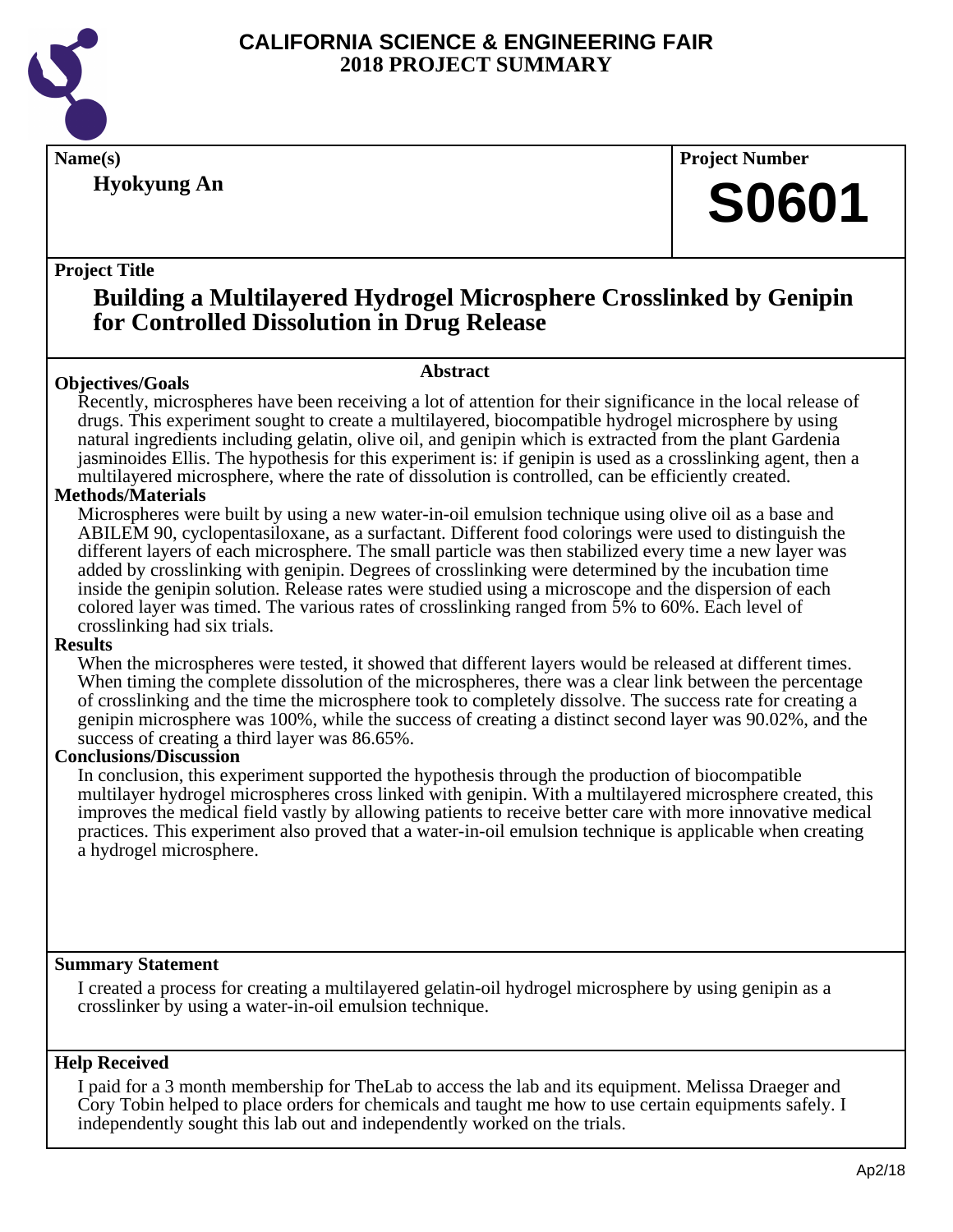

**Hyokyung An**

**Name(s) Project Number**

## **S0601**

#### **Project Title**

## **Building a Multilayered Hydrogel Microsphere Crosslinked by Genipin for Controlled Dissolution in Drug Release**

#### **Abstract**

**Objectives/Goals** Recently, microspheres have been receiving a lot of attention for their significance in the local release of drugs. This experiment sought to create a multilayered, biocompatible hydrogel microsphere by using natural ingredients including gelatin, olive oil, and genipin which is extracted from the plant Gardenia jasminoides Ellis. The hypothesis for this experiment is: if genipin is used as a crosslinking agent, then a multilayered microsphere, where the rate of dissolution is controlled, can be efficiently created.

#### **Methods/Materials**

Microspheres were built by using a new water-in-oil emulsion technique using olive oil as a base and ABILEM 90, cyclopentasiloxane, as a surfactant. Different food colorings were used to distinguish the different layers of each microsphere. The small particle was then stabilized every time a new layer was added by crosslinking with genipin. Degrees of crosslinking were determined by the incubation time inside the genipin solution. Release rates were studied using a microscope and the dispersion of each colored layer was timed. The various rates of crosslinking ranged from 5% to 60%. Each level of crosslinking had six trials.

#### **Results**

When the microspheres were tested, it showed that different layers would be released at different times. When timing the complete dissolution of the microspheres, there was a clear link between the percentage of crosslinking and the time the microsphere took to completely dissolve. The success rate for creating a genipin microsphere was 100%, while the success of creating a distinct second layer was 90.02%, and the success of creating a third layer was 86.65%.

#### **Conclusions/Discussion**

In conclusion, this experiment supported the hypothesis through the production of biocompatible multilayer hydrogel microspheres cross linked with genipin. With a multilayered microsphere created, this improves the medical field vastly by allowing patients to receive better care with more innovative medical practices. This experiment also proved that a water-in-oil emulsion technique is applicable when creating a hydrogel microsphere.

#### **Summary Statement**

I created a process for creating a multilayered gelatin-oil hydrogel microsphere by using genipin as a crosslinker by using a water-in-oil emulsion technique.

#### **Help Received**

I paid for a 3 month membership for TheLab to access the lab and its equipment. Melissa Draeger and Cory Tobin helped to place orders for chemicals and taught me how to use certain equipments safely. I independently sought this lab out and independently worked on the trials.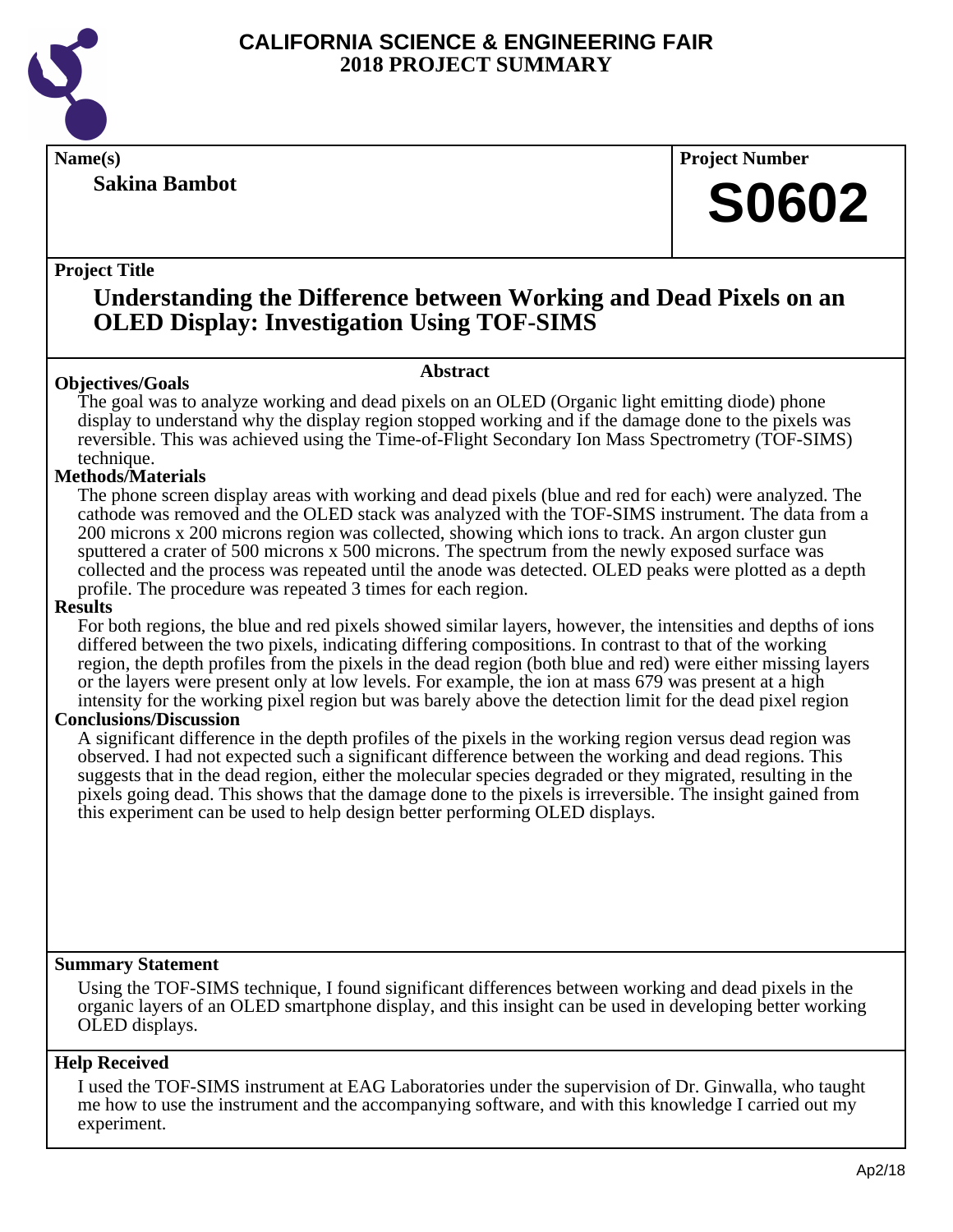

#### **Sakina Bambot**

**Name(s) Project Number**

## **S0602**

#### **Project Title**

### **Understanding the Difference between Working and Dead Pixels on an OLED Display: Investigation Using TOF-SIMS**

#### **Abstract**

**Objectives/Goals** The goal was to analyze working and dead pixels on an OLED (Organic light emitting diode) phone display to understand why the display region stopped working and if the damage done to the pixels was reversible. This was achieved using the Time-of-Flight Secondary Ion Mass Spectrometry (TOF-SIMS) technique.

#### **Methods/Materials**

The phone screen display areas with working and dead pixels (blue and red for each) were analyzed. The cathode was removed and the OLED stack was analyzed with the TOF-SIMS instrument. The data from a 200 microns x 200 microns region was collected, showing which ions to track. An argon cluster gun sputtered a crater of 500 microns x 500 microns. The spectrum from the newly exposed surface was collected and the process was repeated until the anode was detected. OLED peaks were plotted as a depth profile. The procedure was repeated 3 times for each region.

#### **Results**

For both regions, the blue and red pixels showed similar layers, however, the intensities and depths of ions differed between the two pixels, indicating differing compositions. In contrast to that of the working region, the depth profiles from the pixels in the dead region (both blue and red) were either missing layers or the layers were present only at low levels. For example, the ion at mass 679 was present at a high intensity for the working pixel region but was barely above the detection limit for the dead pixel region

#### **Conclusions/Discussion**

A significant difference in the depth profiles of the pixels in the working region versus dead region was observed. I had not expected such a significant difference between the working and dead regions. This suggests that in the dead region, either the molecular species degraded or they migrated, resulting in the pixels going dead. This shows that the damage done to the pixels is irreversible. The insight gained from this experiment can be used to help design better performing OLED displays.

#### **Summary Statement**

Using the TOF-SIMS technique, I found significant differences between working and dead pixels in the organic layers of an OLED smartphone display, and this insight can be used in developing better working OLED displays.

#### **Help Received**

I used the TOF-SIMS instrument at EAG Laboratories under the supervision of Dr. Ginwalla, who taught me how to use the instrument and the accompanying software, and with this knowledge I carried out my experiment.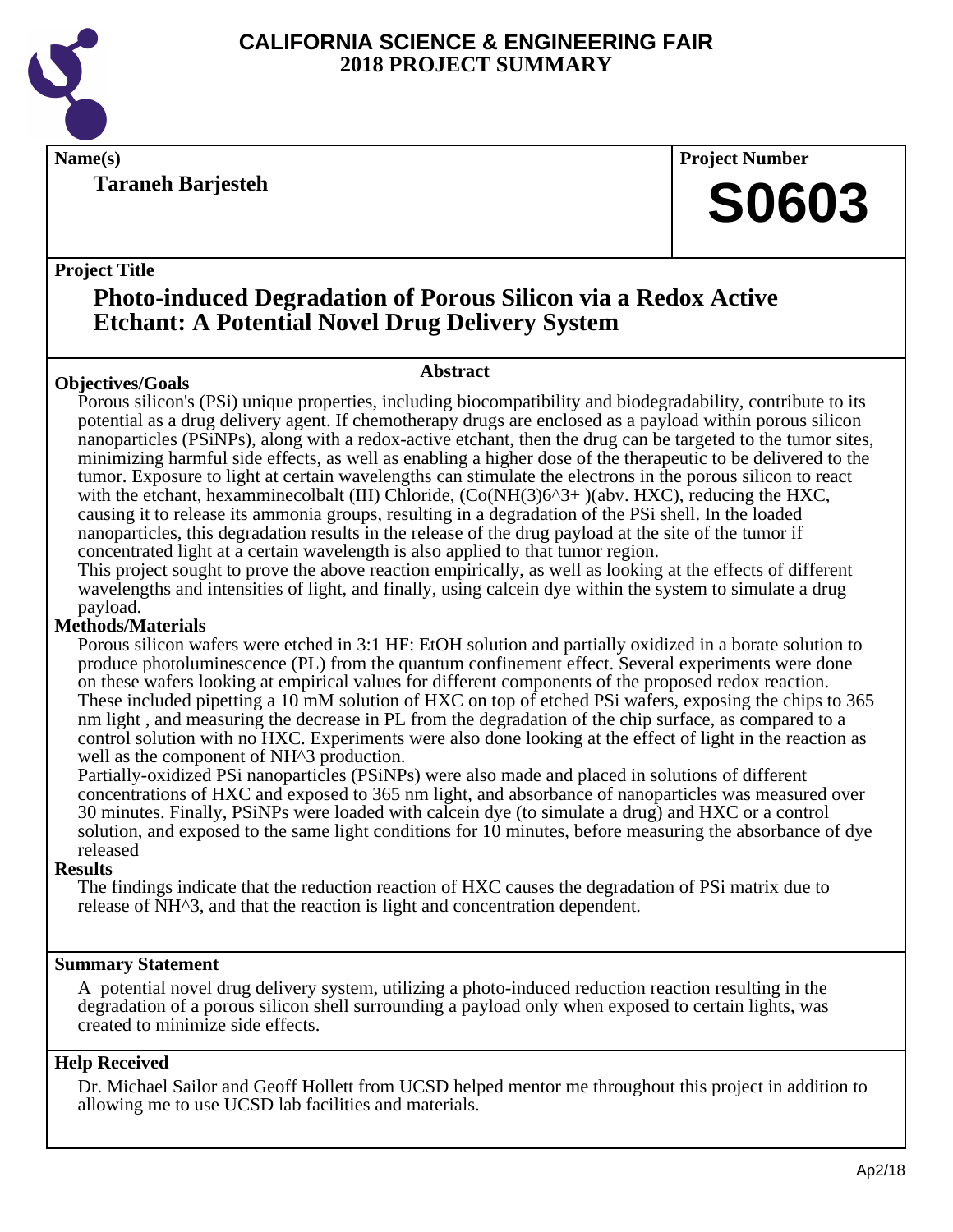

**Taraneh Barjesteh**

**Name(s) Project Number**

## **S0603**

#### **Project Title**

## **Photo-induced Degradation of Porous Silicon via a Redox Active Etchant: A Potential Novel Drug Delivery System**

#### **Objectives/Goals**

## **Abstract**

Porous silicon's (PSi) unique properties, including biocompatibility and biodegradability, contribute to its potential as a drug delivery agent. If chemotherapy drugs are enclosed as a payload within porous silicon nanoparticles (PSiNPs), along with a redox-active etchant, then the drug can be targeted to the tumor sites, minimizing harmful side effects, as well as enabling a higher dose of the therapeutic to be delivered to the tumor. Exposure to light at certain wavelengths can stimulate the electrons in the porous silicon to react with the etchant, hexamminecolbalt (III) Chloride,  $(Co(NH(3)6^3+)$ (abv. HXC), reducing the HXC, causing it to release its ammonia groups, resulting in a degradation of the PSi shell. In the loaded nanoparticles, this degradation results in the release of the drug payload at the site of the tumor if concentrated light at a certain wavelength is also applied to that tumor region.

This project sought to prove the above reaction empirically, as well as looking at the effects of different wavelengths and intensities of light, and finally, using calcein dye within the system to simulate a drug payload.

#### **Methods/Materials**

Porous silicon wafers were etched in 3:1 HF: EtOH solution and partially oxidized in a borate solution to produce photoluminescence (PL) from the quantum confinement effect. Several experiments were done on these wafers looking at empirical values for different components of the proposed redox reaction. These included pipetting a 10 mM solution of HXC on top of etched PSi wafers, exposing the chips to 365 nm light , and measuring the decrease in PL from the degradation of the chip surface, as compared to a control solution with no HXC. Experiments were also done looking at the effect of light in the reaction as well as the component of NH<sup> $\lambda$ 3</sup> production.

Partially-oxidized PSi nanoparticles (PSiNPs) were also made and placed in solutions of different concentrations of HXC and exposed to 365 nm light, and absorbance of nanoparticles was measured over 30 minutes. Finally, PSiNPs were loaded with calcein dye (to simulate a drug) and HXC or a control solution, and exposed to the same light conditions for 10 minutes, before measuring the absorbance of dye released

#### **Results**

The findings indicate that the reduction reaction of HXC causes the degradation of PSi matrix due to release of NH^3, and that the reaction is light and concentration dependent.

#### **Summary Statement**

A potential novel drug delivery system, utilizing a photo-induced reduction reaction resulting in the degradation of a porous silicon shell surrounding a payload only when exposed to certain lights, was created to minimize side effects.

#### **Help Received**

Dr. Michael Sailor and Geoff Hollett from UCSD helped mentor me throughout this project in addition to allowing me to use UCSD lab facilities and materials.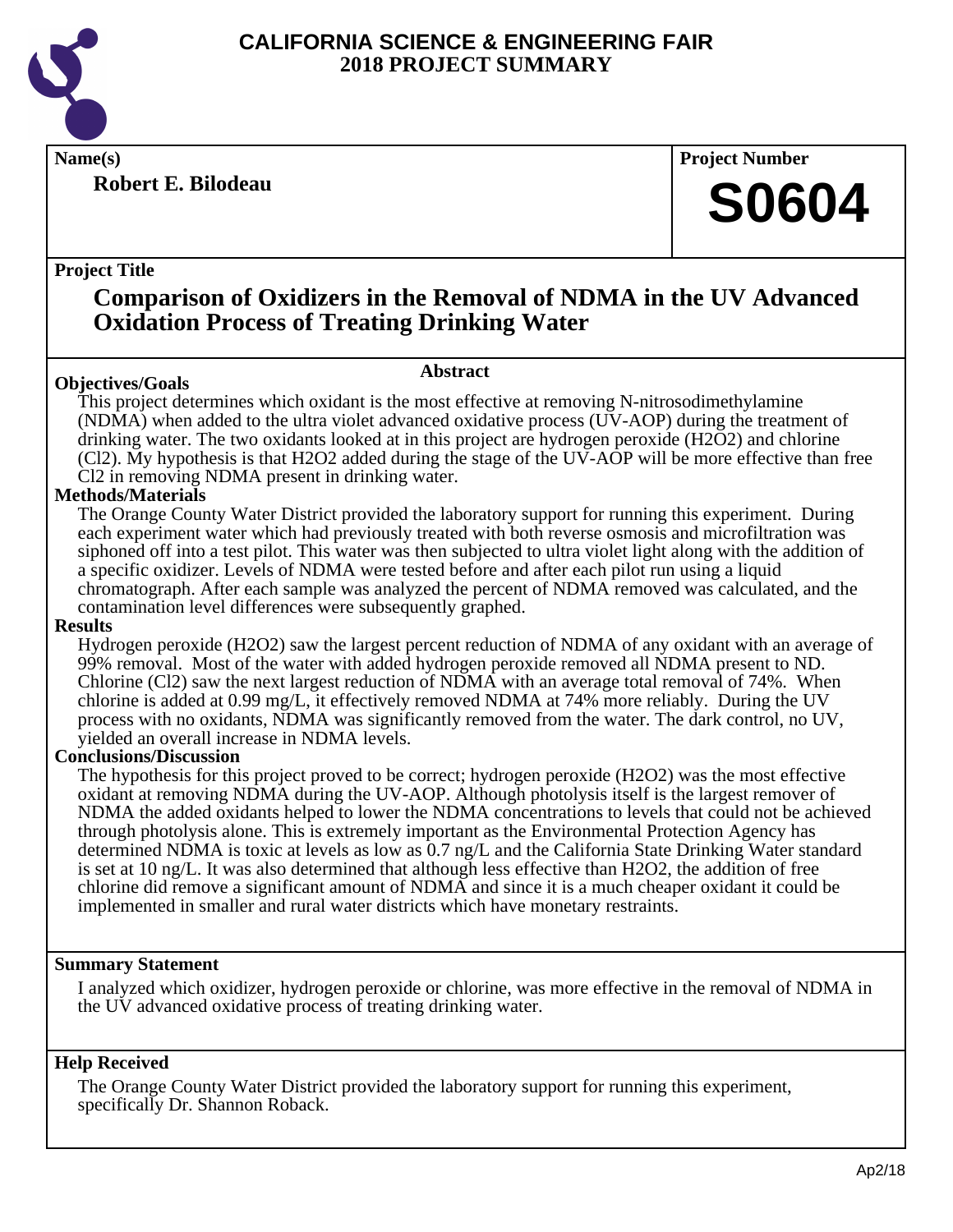

**Robert E. Bilodeau**

**Name(s) Project Number**

## **S0604**

#### **Project Title**

### **Comparison of Oxidizers in the Removal of NDMA in the UV Advanced Oxidation Process of Treating Drinking Water**

#### **Abstract**

**Objectives/Goals** This project determines which oxidant is the most effective at removing N-nitrosodimethylamine (NDMA) when added to the ultra violet advanced oxidative process (UV-AOP) during the treatment of drinking water. The two oxidants looked at in this project are hydrogen peroxide (H2O2) and chlorine (Cl2). My hypothesis is that H2O2 added during the stage of the UV-AOP will be more effective than free Cl2 in removing NDMA present in drinking water.

#### **Methods/Materials**

The Orange County Water District provided the laboratory support for running this experiment. During each experiment water which had previously treated with both reverse osmosis and microfiltration was siphoned off into a test pilot. This water was then subjected to ultra violet light along with the addition of a specific oxidizer. Levels of NDMA were tested before and after each pilot run using a liquid chromatograph. After each sample was analyzed the percent of NDMA removed was calculated, and the contamination level differences were subsequently graphed.

#### **Results**

Hydrogen peroxide (H2O2) saw the largest percent reduction of NDMA of any oxidant with an average of 99% removal. Most of the water with added hydrogen peroxide removed all NDMA present to ND. Chlorine (Cl2) saw the next largest reduction of NDMA with an average total removal of 74%. When chlorine is added at 0.99 mg/L, it effectively removed NDMA at 74% more reliably. During the UV process with no oxidants, NDMA was significantly removed from the water. The dark control, no UV, yielded an overall increase in NDMA levels.

#### **Conclusions/Discussion**

The hypothesis for this project proved to be correct; hydrogen peroxide (H2O2) was the most effective oxidant at removing NDMA during the UV-AOP. Although photolysis itself is the largest remover of NDMA the added oxidants helped to lower the NDMA concentrations to levels that could not be achieved through photolysis alone. This is extremely important as the Environmental Protection Agency has determined NDMA is toxic at levels as low as 0.7 ng/L and the California State Drinking Water standard is set at 10 ng/L. It was also determined that although less effective than H2O2, the addition of free chlorine did remove a significant amount of NDMA and since it is a much cheaper oxidant it could be implemented in smaller and rural water districts which have monetary restraints.

#### **Summary Statement**

I analyzed which oxidizer, hydrogen peroxide or chlorine, was more effective in the removal of NDMA in the UV advanced oxidative process of treating drinking water.

#### **Help Received**

The Orange County Water District provided the laboratory support for running this experiment, specifically Dr. Shannon Roback.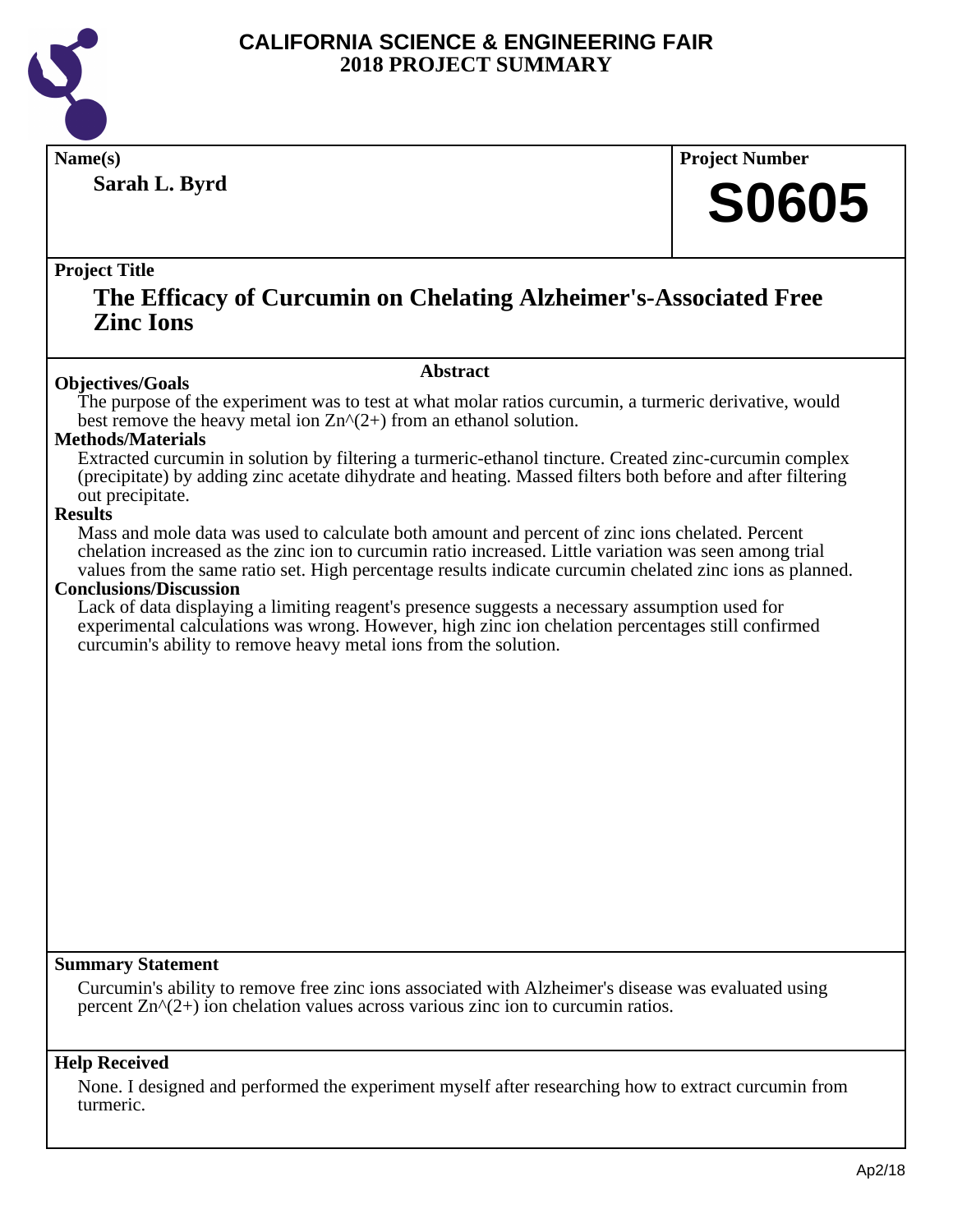

**Sarah L. Byrd**

**Name(s) Project Number**

## **S0605**

#### **Project Title**

### **The Efficacy of Curcumin on Chelating Alzheimer's-Associated Free Zinc Ions**

#### **Abstract**

**Objectives/Goals** The purpose of the experiment was to test at what molar ratios curcumin, a turmeric derivative, would best remove the heavy metal ion  $\text{Zn}^{\wedge}(2+)$  from an ethanol solution.

#### **Methods/Materials**

Extracted curcumin in solution by filtering a turmeric-ethanol tincture. Created zinc-curcumin complex (precipitate) by adding zinc acetate dihydrate and heating. Massed filters both before and after filtering out precipitate.

#### **Results**

Mass and mole data was used to calculate both amount and percent of zinc ions chelated. Percent chelation increased as the zinc ion to curcumin ratio increased. Little variation was seen among trial values from the same ratio set. High percentage results indicate curcumin chelated zinc ions as planned.

#### **Conclusions/Discussion**

Lack of data displaying a limiting reagent's presence suggests a necessary assumption used for experimental calculations was wrong. However, high zinc ion chelation percentages still confirmed curcumin's ability to remove heavy metal ions from the solution.

#### **Summary Statement**

Curcumin's ability to remove free zinc ions associated with Alzheimer's disease was evaluated using percent  $\text{Zn}^{\wedge}(2+)$  ion chelation values across various zinc ion to curcumin ratios.

#### **Help Received**

None. I designed and performed the experiment myself after researching how to extract curcumin from turmeric.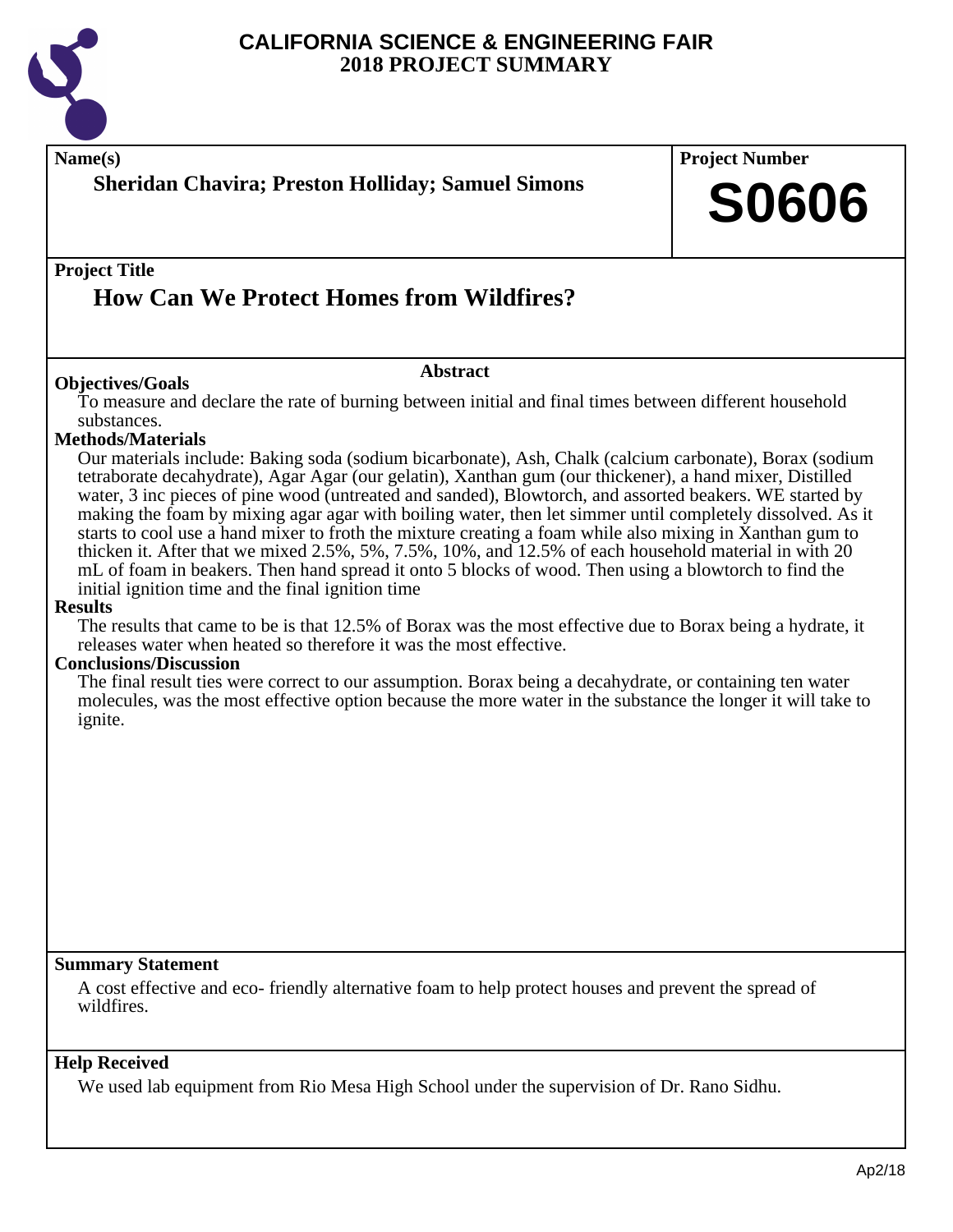

| <b>Sheridan Chavira; Preston Holliday; Samuel Simons</b>                                                                                                                                                                                                                                                                                                                                                                                                                                                                                                                                                                                                                                                                                                                                                                                                                                                                                                                                                                                                                                                                                                                                                                                                                                                                                                                                                                                                            | <b>Project Number</b><br><b>S0606</b> |
|---------------------------------------------------------------------------------------------------------------------------------------------------------------------------------------------------------------------------------------------------------------------------------------------------------------------------------------------------------------------------------------------------------------------------------------------------------------------------------------------------------------------------------------------------------------------------------------------------------------------------------------------------------------------------------------------------------------------------------------------------------------------------------------------------------------------------------------------------------------------------------------------------------------------------------------------------------------------------------------------------------------------------------------------------------------------------------------------------------------------------------------------------------------------------------------------------------------------------------------------------------------------------------------------------------------------------------------------------------------------------------------------------------------------------------------------------------------------|---------------------------------------|
| <b>Project Title</b><br><b>How Can We Protect Homes from Wildfires?</b>                                                                                                                                                                                                                                                                                                                                                                                                                                                                                                                                                                                                                                                                                                                                                                                                                                                                                                                                                                                                                                                                                                                                                                                                                                                                                                                                                                                             |                                       |
| <b>Abstract</b><br><b>Objectives/Goals</b>                                                                                                                                                                                                                                                                                                                                                                                                                                                                                                                                                                                                                                                                                                                                                                                                                                                                                                                                                                                                                                                                                                                                                                                                                                                                                                                                                                                                                          |                                       |
| To measure and declare the rate of burning between initial and final times between different household<br>substances.<br><b>Methods/Materials</b><br>Our materials include: Baking soda (sodium bicarbonate), Ash, Chalk (calcium carbonate), Borax (sodium<br>tetraborate decahydrate), Agar Agar (our gelatin), Xanthan gum (our thickener), a hand mixer, Distilled<br>water, 3 inc pieces of pine wood (untreated and sanded), Blowtorch, and assorted beakers. WE started by<br>making the foam by mixing agar agar with boiling water, then let simmer until completely dissolved. As it<br>starts to cool use a hand mixer to froth the mixture creating a foam while also mixing in Xanthan gum to<br>thicken it. After that we mixed 2.5%, 5%, 7.5%, 10%, and 12.5% of each household material in with 20<br>mL of foam in beakers. Then hand spread it onto 5 blocks of wood. Then using a blowtorch to find the<br>initial ignition time and the final ignition time<br><b>Results</b><br>The results that came to be is that 12.5% of Borax was the most effective due to Borax being a hydrate, it<br>releases water when heated so therefore it was the most effective.<br><b>Conclusions/Discussion</b><br>The final result ties were correct to our assumption. Borax being a decahydrate, or containing ten water<br>molecules, was the most effective option because the more water in the substance the longer it will take to<br><i>ignite.</i> |                                       |
|                                                                                                                                                                                                                                                                                                                                                                                                                                                                                                                                                                                                                                                                                                                                                                                                                                                                                                                                                                                                                                                                                                                                                                                                                                                                                                                                                                                                                                                                     |                                       |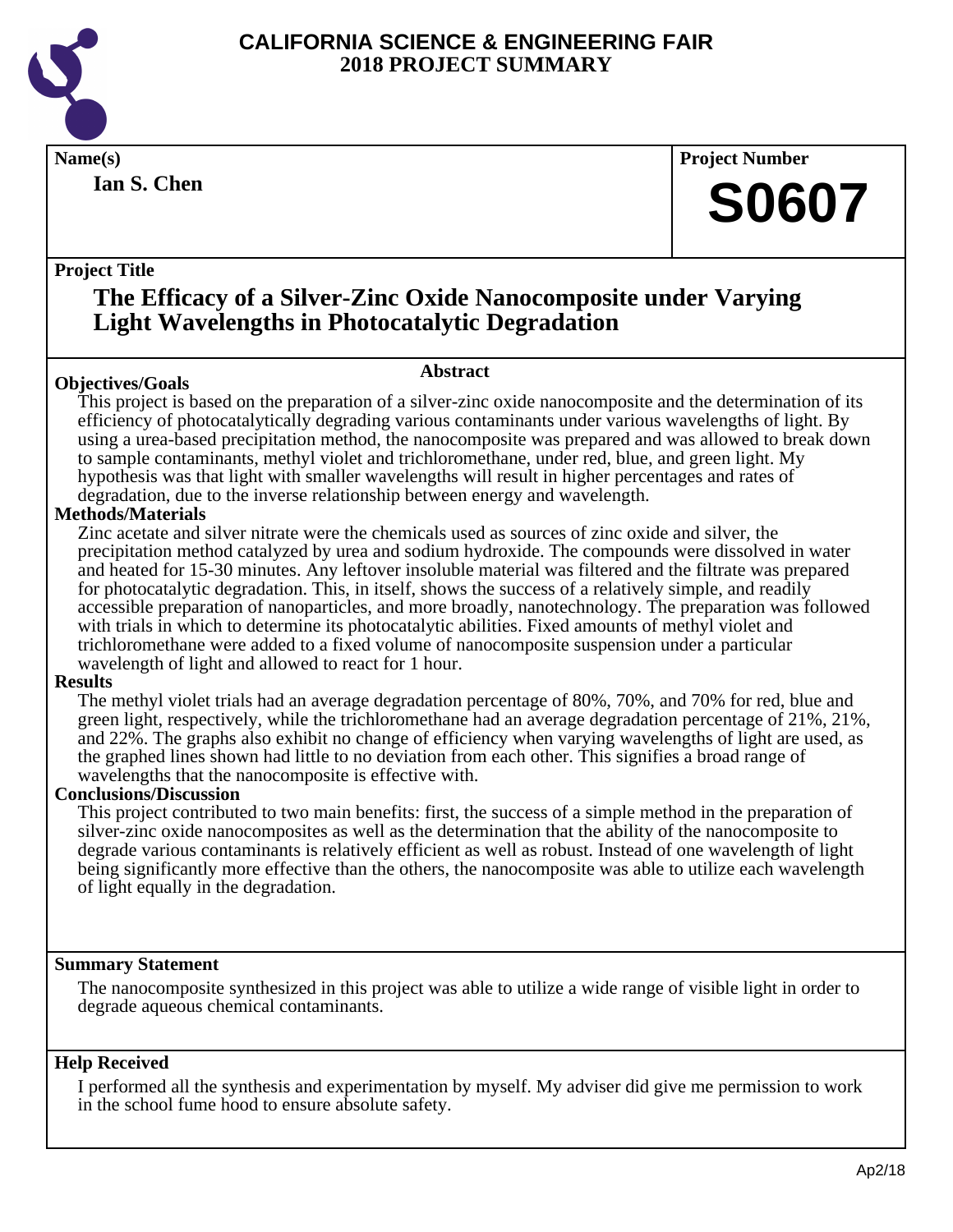

**Ian S. Chen**

**Name(s) Project Number**

## **S0607**

#### **Project Title**

## **The Efficacy of a Silver-Zinc Oxide Nanocomposite under Varying Light Wavelengths in Photocatalytic Degradation**

### **Abstract**

**Objectives/Goals** This project is based on the preparation of a silver-zinc oxide nanocomposite and the determination of its efficiency of photocatalytically degrading various contaminants under various wavelengths of light. By using a urea-based precipitation method, the nanocomposite was prepared and was allowed to break down to sample contaminants, methyl violet and trichloromethane, under red, blue, and green light. My hypothesis was that light with smaller wavelengths will result in higher percentages and rates of degradation, due to the inverse relationship between energy and wavelength.

#### **Methods/Materials**

Zinc acetate and silver nitrate were the chemicals used as sources of zinc oxide and silver, the precipitation method catalyzed by urea and sodium hydroxide. The compounds were dissolved in water and heated for 15-30 minutes. Any leftover insoluble material was filtered and the filtrate was prepared for photocatalytic degradation. This, in itself, shows the success of a relatively simple, and readily accessible preparation of nanoparticles, and more broadly, nanotechnology. The preparation was followed with trials in which to determine its photocatalytic abilities. Fixed amounts of methyl violet and trichloromethane were added to a fixed volume of nanocomposite suspension under a particular wavelength of light and allowed to react for 1 hour.

#### **Results**

The methyl violet trials had an average degradation percentage of 80%, 70%, and 70% for red, blue and green light, respectively, while the trichloromethane had an average degradation percentage of 21%, 21%, and 22%. The graphs also exhibit no change of efficiency when varying wavelengths of light are used, as the graphed lines shown had little to no deviation from each other. This signifies a broad range of wavelengths that the nanocomposite is effective with.

#### **Conclusions/Discussion**

This project contributed to two main benefits: first, the success of a simple method in the preparation of silver-zinc oxide nanocomposites as well as the determination that the ability of the nanocomposite to degrade various contaminants is relatively efficient as well as robust. Instead of one wavelength of light being significantly more effective than the others, the nanocomposite was able to utilize each wavelength of light equally in the degradation.

#### **Summary Statement**

The nanocomposite synthesized in this project was able to utilize a wide range of visible light in order to degrade aqueous chemical contaminants.

#### **Help Received**

I performed all the synthesis and experimentation by myself. My adviser did give me permission to work in the school fume hood to ensure absolute safety.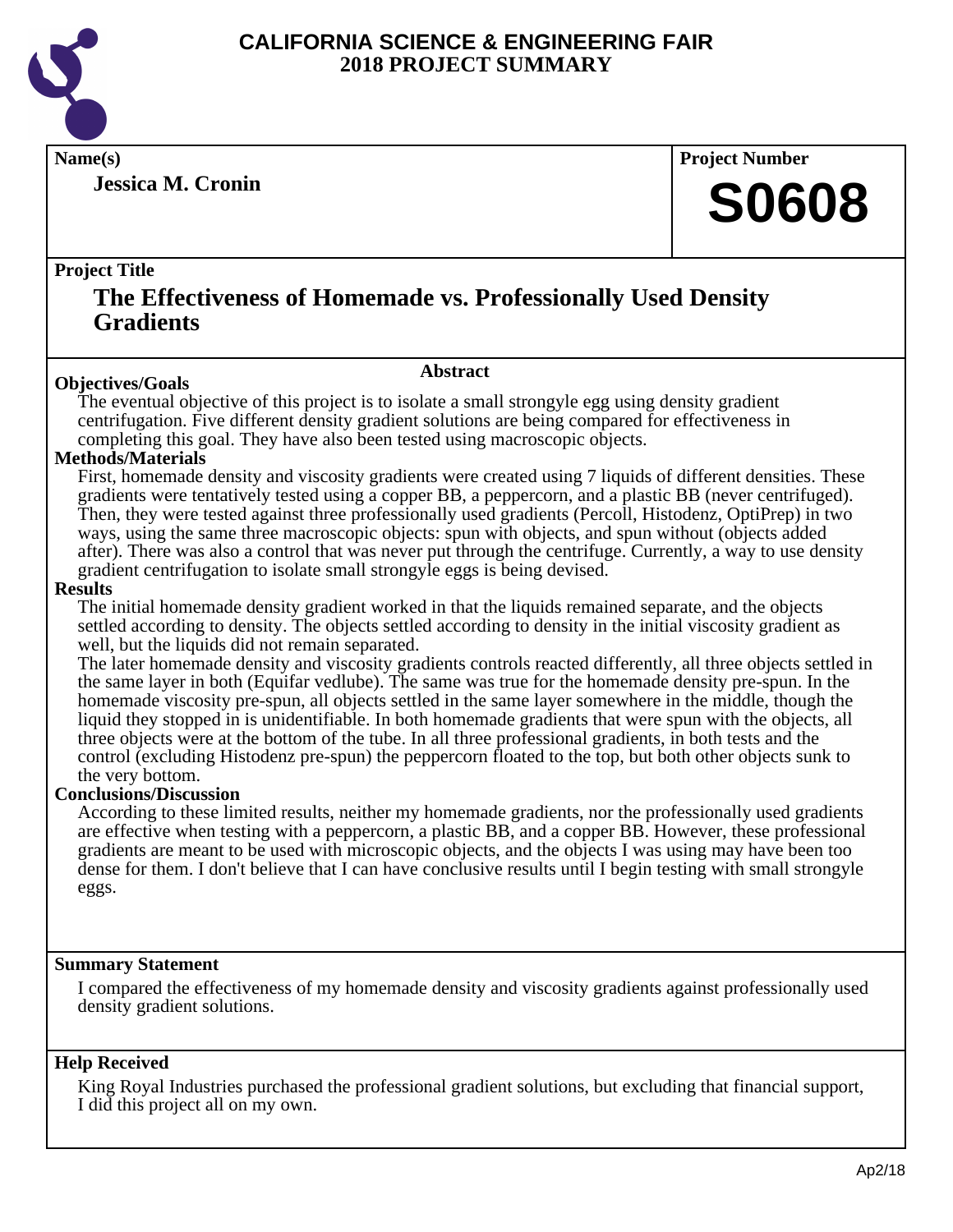

**Jessica M. Cronin**

**Name(s) Project Number**

## **S0608**

#### **Project Title**

### **The Effectiveness of Homemade vs. Professionally Used Density Gradients**

#### **Abstract**

**Objectives/Goals** The eventual objective of this project is to isolate a small strongyle egg using density gradient centrifugation. Five different density gradient solutions are being compared for effectiveness in completing this goal. They have also been tested using macroscopic objects.

#### **Methods/Materials**

First, homemade density and viscosity gradients were created using 7 liquids of different densities. These gradients were tentatively tested using a copper BB, a peppercorn, and a plastic BB (never centrifuged). Then, they were tested against three professionally used gradients (Percoll, Histodenz, OptiPrep) in two ways, using the same three macroscopic objects: spun with objects, and spun without (objects added after). There was also a control that was never put through the centrifuge. Currently, a way to use density gradient centrifugation to isolate small strongyle eggs is being devised.

#### **Results**

The initial homemade density gradient worked in that the liquids remained separate, and the objects settled according to density. The objects settled according to density in the initial viscosity gradient as well, but the liquids did not remain separated.

The later homemade density and viscosity gradients controls reacted differently, all three objects settled in the same layer in both (Equifar vedlube). The same was true for the homemade density pre-spun. In the homemade viscosity pre-spun, all objects settled in the same layer somewhere in the middle, though the liquid they stopped in is unidentifiable. In both homemade gradients that were spun with the objects, all three objects were at the bottom of the tube. In all three professional gradients, in both tests and the control (excluding Histodenz pre-spun) the peppercorn floated to the top, but both other objects sunk to the very bottom.

#### **Conclusions/Discussion**

According to these limited results, neither my homemade gradients, nor the professionally used gradients are effective when testing with a peppercorn, a plastic BB, and a copper BB. However, these professional gradients are meant to be used with microscopic objects, and the objects I was using may have been too dense for them. I don't believe that I can have conclusive results until I begin testing with small strongyle eggs.

#### **Summary Statement**

I compared the effectiveness of my homemade density and viscosity gradients against professionally used density gradient solutions.

#### **Help Received**

King Royal Industries purchased the professional gradient solutions, but excluding that financial support, I did this project all on my own.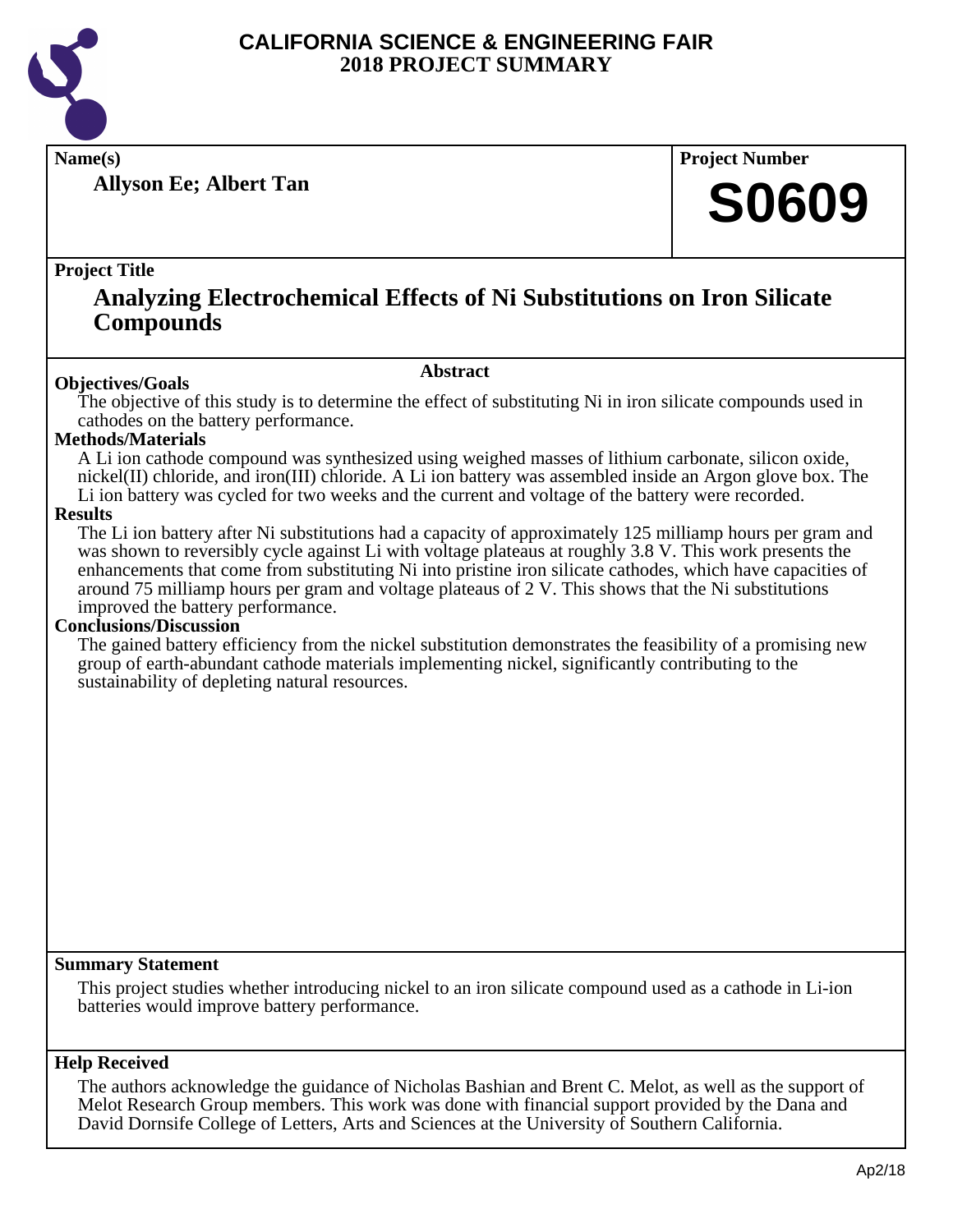

**Allyson Ee; Albert Tan**

**Name(s) Project Number**

## **S0609**

#### **Project Title**

### **Analyzing Electrochemical Effects of Ni Substitutions on Iron Silicate Compounds**

#### **Abstract**

**Objectives/Goals** The objective of this study is to determine the effect of substituting Ni in iron silicate compounds used in cathodes on the battery performance.

#### **Methods/Materials**

A Li ion cathode compound was synthesized using weighed masses of lithium carbonate, silicon oxide, nickel(II) chloride, and iron(III) chloride. A Li ion battery was assembled inside an Argon glove box. The Li ion battery was cycled for two weeks and the current and voltage of the battery were recorded.

#### **Results**

The Li ion battery after Ni substitutions had a capacity of approximately 125 milliamp hours per gram and was shown to reversibly cycle against Li with voltage plateaus at roughly 3.8 V. This work presents the enhancements that come from substituting Ni into pristine iron silicate cathodes, which have capacities of around 75 milliamp hours per gram and voltage plateaus of 2 V. This shows that the Ni substitutions improved the battery performance.

#### **Conclusions/Discussion**

The gained battery efficiency from the nickel substitution demonstrates the feasibility of a promising new group of earth-abundant cathode materials implementing nickel, significantly contributing to the sustainability of depleting natural resources.

#### **Summary Statement**

This project studies whether introducing nickel to an iron silicate compound used as a cathode in Li-ion batteries would improve battery performance.

#### **Help Received**

The authors acknowledge the guidance of Nicholas Bashian and Brent C. Melot, as well as the support of Melot Research Group members. This work was done with financial support provided by the Dana and David Dornsife College of Letters, Arts and Sciences at the University of Southern California.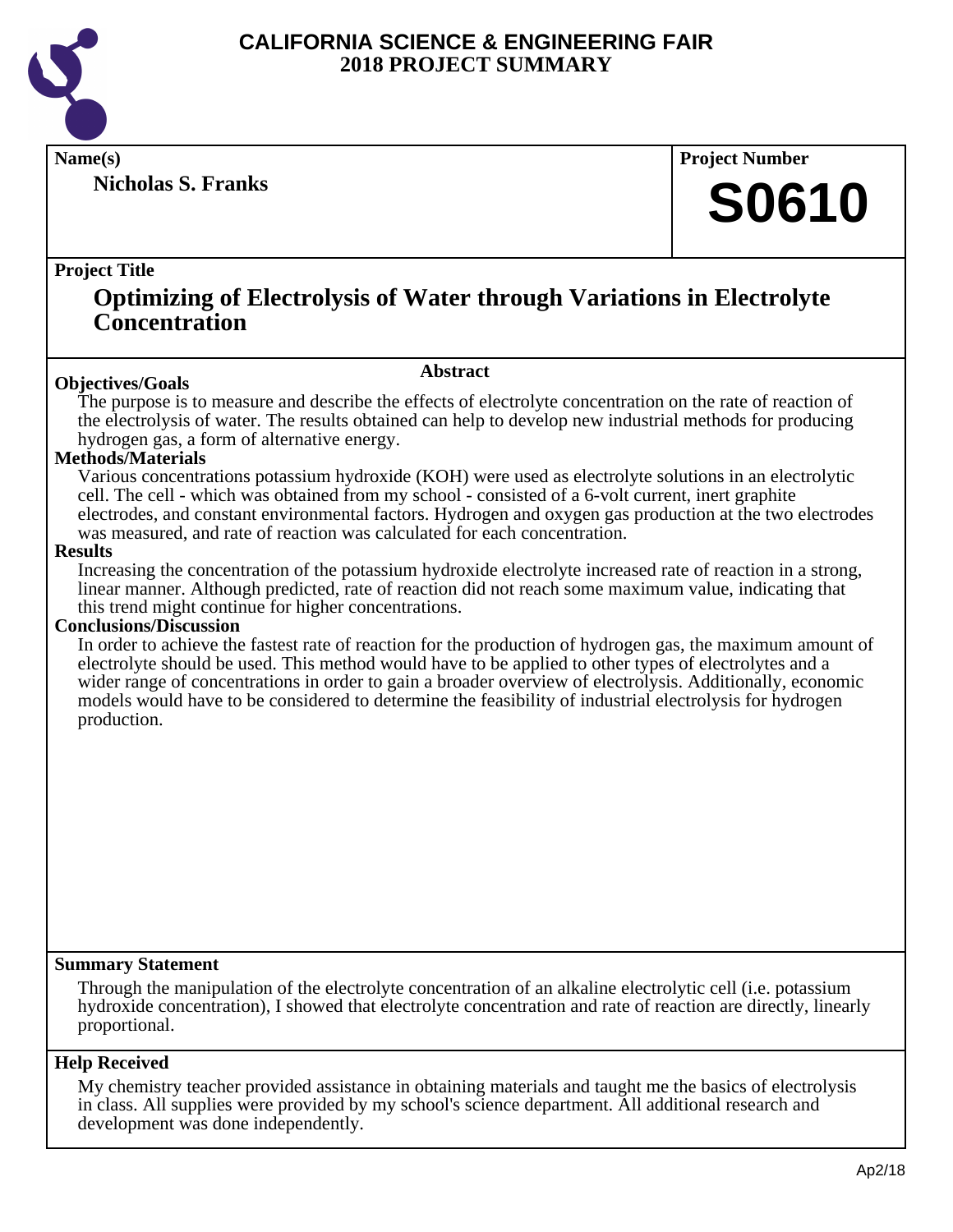

**Nicholas S. Franks**

**Name(s) Project Number**

## **S0610**

#### **Project Title**

### **Optimizing of Electrolysis of Water through Variations in Electrolyte Concentration**

#### **Abstract**

**Objectives/Goals** The purpose is to measure and describe the effects of electrolyte concentration on the rate of reaction of the electrolysis of water. The results obtained can help to develop new industrial methods for producing hydrogen gas, a form of alternative energy.

#### **Methods/Materials**

Various concentrations potassium hydroxide (KOH) were used as electrolyte solutions in an electrolytic cell. The cell - which was obtained from my school - consisted of a 6-volt current, inert graphite electrodes, and constant environmental factors. Hydrogen and oxygen gas production at the two electrodes was measured, and rate of reaction was calculated for each concentration.

#### **Results**

Increasing the concentration of the potassium hydroxide electrolyte increased rate of reaction in a strong, linear manner. Although predicted, rate of reaction did not reach some maximum value, indicating that this trend might continue for higher concentrations.

#### **Conclusions/Discussion**

In order to achieve the fastest rate of reaction for the production of hydrogen gas, the maximum amount of electrolyte should be used. This method would have to be applied to other types of electrolytes and a wider range of concentrations in order to gain a broader overview of electrolysis. Additionally, economic models would have to be considered to determine the feasibility of industrial electrolysis for hydrogen production.

#### **Summary Statement**

Through the manipulation of the electrolyte concentration of an alkaline electrolytic cell (i.e. potassium hydroxide concentration), I showed that electrolyte concentration and rate of reaction are directly, linearly proportional.

#### **Help Received**

My chemistry teacher provided assistance in obtaining materials and taught me the basics of electrolysis in class. All supplies were provided by my school's science department. All additional research and development was done independently.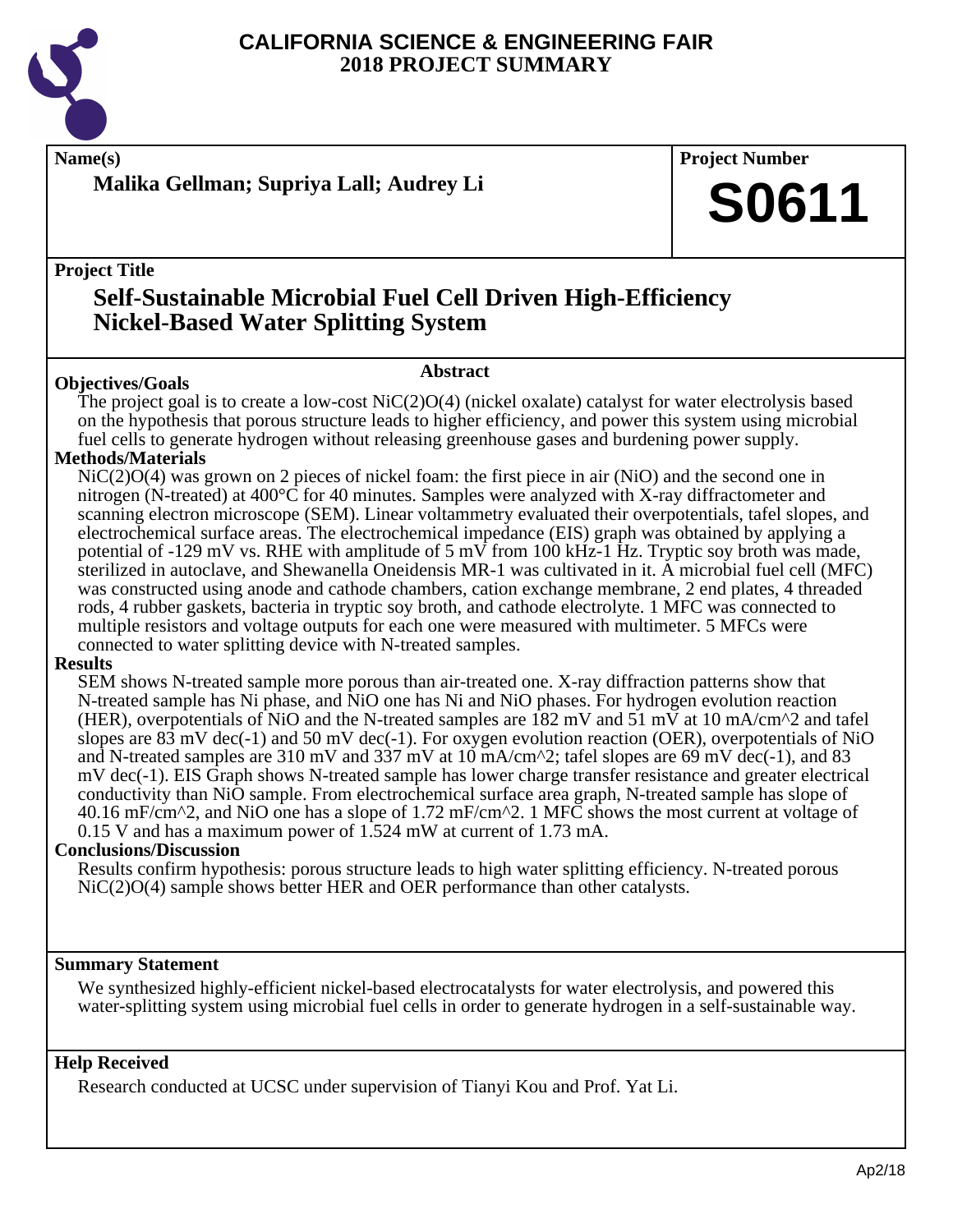

### **Malika Gellman; Supriya Lall; Audrey Li**

**Name(s) Project Number**

## **S0611**

**Project Title**

## **Self-Sustainable Microbial Fuel Cell Driven High-Efficiency Nickel-Based Water Splitting System**

#### **Abstract**

**Objectives/Goals** The project goal is to create a low-cost NiC(2)O(4) (nickel oxalate) catalyst for water electrolysis based on the hypothesis that porous structure leads to higher efficiency, and power this system using microbial fuel cells to generate hydrogen without releasing greenhouse gases and burdening power supply.

#### **Methods/Materials**

NiC(2)O(4) was grown on 2 pieces of nickel foam: the first piece in air (NiO) and the second one in nitrogen (N-treated) at 400°C for 40 minutes. Samples were analyzed with X-ray diffractometer and scanning electron microscope (SEM). Linear voltammetry evaluated their overpotentials, tafel slopes, and electrochemical surface areas. The electrochemical impedance (EIS) graph was obtained by applying a potential of -129 mV vs. RHE with amplitude of 5 mV from 100 kHz-1 Hz. Tryptic soy broth was made, sterilized in autoclave, and Shewanella Oneidensis MR-1 was cultivated in it. A microbial fuel cell (MFC) was constructed using anode and cathode chambers, cation exchange membrane, 2 end plates, 4 threaded rods, 4 rubber gaskets, bacteria in tryptic soy broth, and cathode electrolyte. 1 MFC was connected to multiple resistors and voltage outputs for each one were measured with multimeter. 5 MFCs were connected to water splitting device with N-treated samples.

#### **Results**

SEM shows N-treated sample more porous than air-treated one. X-ray diffraction patterns show that N-treated sample has Ni phase, and NiO one has Ni and NiO phases. For hydrogen evolution reaction (HER), overpotentials of NiO and the N-treated samples are 182 mV and 51 mV at 10 mA/cm<sup> $\gamma$ </sup>2 and tafel slopes are  $83 \text{ mV}$  dec(-1) and  $50 \text{ mV}$  dec(-1). For oxygen evolution reaction (OER), overpotentials of NiO and N-treated samples are 310 mV and 337 mV at 10 mA/cm^2; tafel slopes are 69 mV dec(-1), and 83 mV dec(-1). EIS Graph shows N-treated sample has lower charge transfer resistance and greater electrical conductivity than NiO sample. From electrochemical surface area graph, N-treated sample has slope of 40.16 mF/cm^2, and NiO one has a slope of 1.72 mF/cm^2. 1 MFC shows the most current at voltage of 0.15 V and has a maximum power of 1.524 mW at current of 1.73 mA.

#### **Conclusions/Discussion**

Results confirm hypothesis: porous structure leads to high water splitting efficiency. N-treated porous NiC(2)O(4) sample shows better HER and OER performance than other catalysts.

#### **Summary Statement**

We synthesized highly-efficient nickel-based electrocatalysts for water electrolysis, and powered this water-splitting system using microbial fuel cells in order to generate hydrogen in a self-sustainable way.

#### **Help Received**

Research conducted at UCSC under supervision of Tianyi Kou and Prof. Yat Li.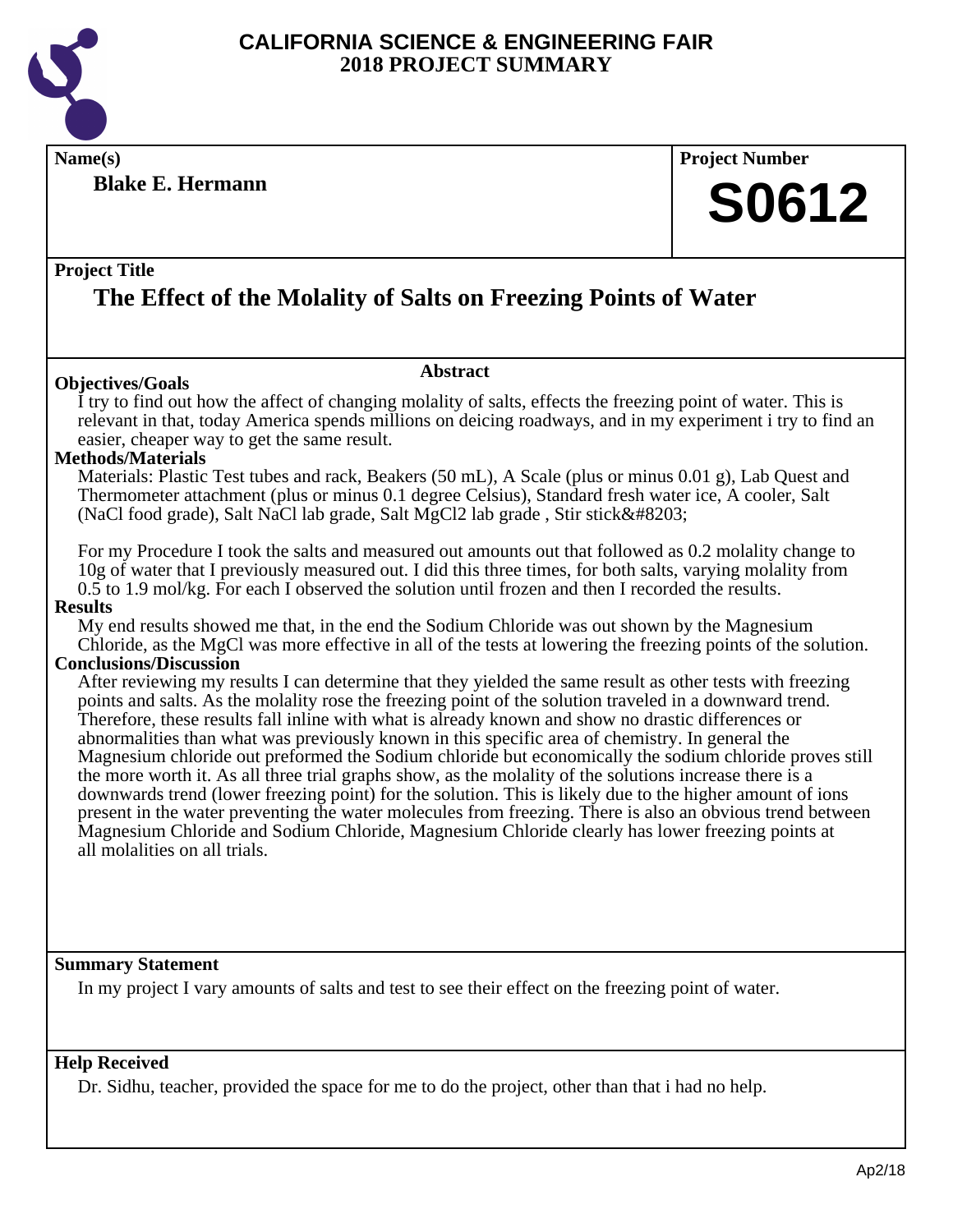

**Name(s) Project Number**

**Blake E. Hermann**

## **S0612**

#### **Project Title**

## **The Effect of the Molality of Salts on Freezing Points of Water**

#### **Objectives/Goals**

**Abstract**

I try to find out how the affect of changing molality of salts, effects the freezing point of water. This is relevant in that, today America spends millions on deicing roadways, and in my experiment i try to find an easier, cheaper way to get the same result.

#### **Methods/Materials**

Materials: Plastic Test tubes and rack, Beakers (50 mL), A Scale (plus or minus 0.01 g), Lab Quest and Thermometer attachment (plus or minus 0.1 degree Celsius), Standard fresh water ice, A cooler, Salt (NaCl food grade), Salt NaCl lab grade, Salt MgCl2 lab grade , Stir stick

For my Procedure I took the salts and measured out amounts out that followed as 0.2 molality change to 10g of water that I previously measured out. I did this three times, for both salts, varying molality from 0.5 to 1.9 mol/kg. For each I observed the solution until frozen and then I recorded the results.

#### **Results**

My end results showed me that, in the end the Sodium Chloride was out shown by the Magnesium Chloride, as the MgCl was more effective in all of the tests at lowering the freezing points of the solution.

#### **Conclusions/Discussion**

After reviewing my results I can determine that they yielded the same result as other tests with freezing points and salts. As the molality rose the freezing point of the solution traveled in a downward trend. Therefore, these results fall inline with what is already known and show no drastic differences or abnormalities than what was previously known in this specific area of chemistry. In general the Magnesium chloride out preformed the Sodium chloride but economically the sodium chloride proves still the more worth it. As all three trial graphs show, as the molality of the solutions increase there is a downwards trend (lower freezing point) for the solution. This is likely due to the higher amount of ions present in the water preventing the water molecules from freezing. There is also an obvious trend between Magnesium Chloride and Sodium Chloride, Magnesium Chloride clearly has lower freezing points at all molalities on all trials.

#### **Summary Statement**

In my project I vary amounts of salts and test to see their effect on the freezing point of water.

#### **Help Received**

Dr. Sidhu, teacher, provided the space for me to do the project, other than that i had no help.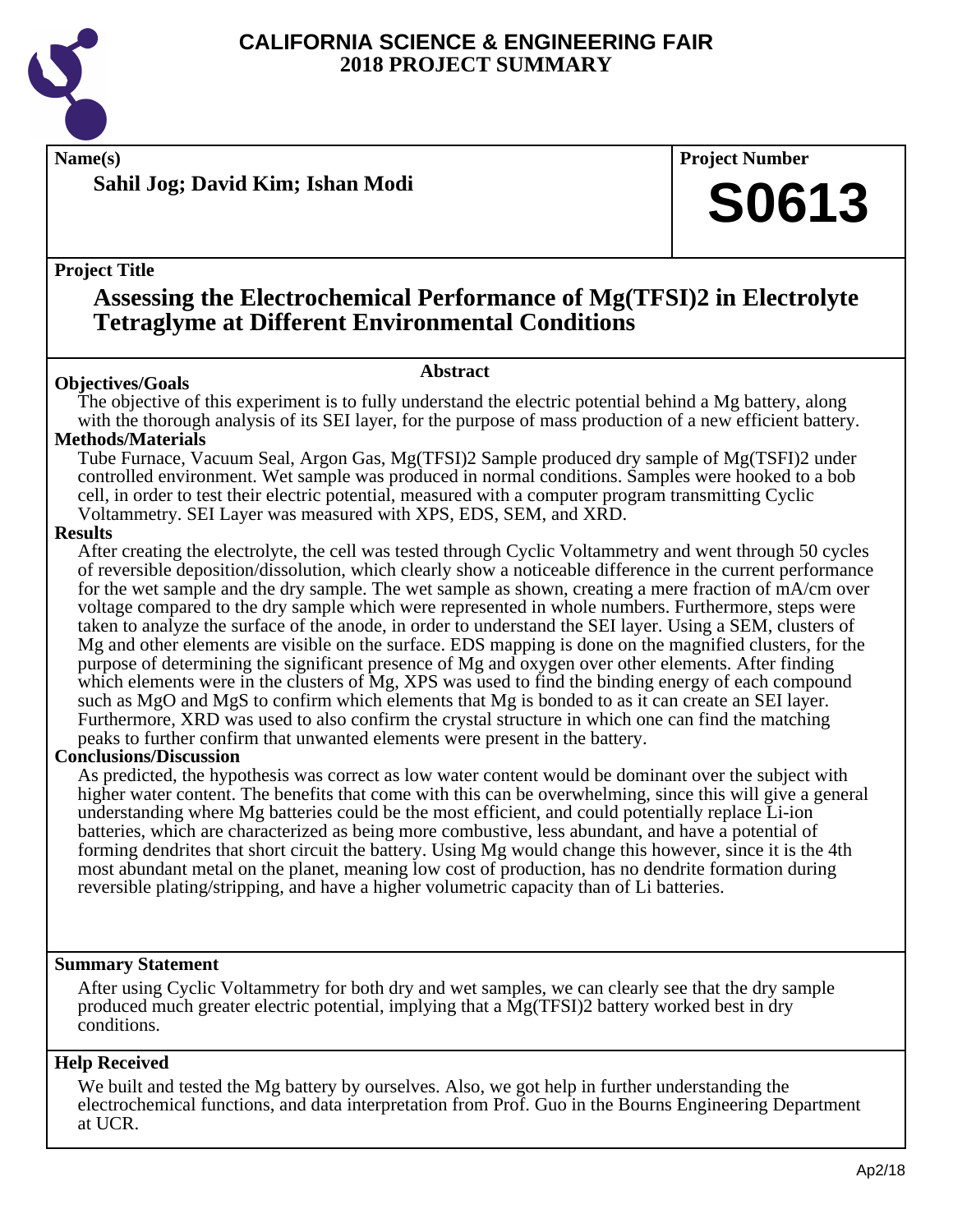

**Name(s) Project Number**

**Sahil Jog; David Kim; Ishan Modi**

#### **Project Title**

## **Assessing the Electrochemical Performance of Mg(TFSI)2 in Electrolyte Tetraglyme at Different Environmental Conditions**

### **Abstract**

**Objectives/Goals** The objective of this experiment is to fully understand the electric potential behind a Mg battery, along with the thorough analysis of its SEI layer, for the purpose of mass production of a new efficient battery.

#### **Methods/Materials**

Tube Furnace, Vacuum Seal, Argon Gas, Mg(TFSI)2 Sample produced dry sample of Mg(TSFI)2 under controlled environment. Wet sample was produced in normal conditions. Samples were hooked to a bob cell, in order to test their electric potential, measured with a computer program transmitting Cyclic Voltammetry. SEI Layer was measured with XPS, EDS, SEM, and XRD.

#### **Results**

After creating the electrolyte, the cell was tested through Cyclic Voltammetry and went through 50 cycles of reversible deposition/dissolution, which clearly show a noticeable difference in the current performance for the wet sample and the dry sample. The wet sample as shown, creating a mere fraction of mA/cm over voltage compared to the dry sample which were represented in whole numbers. Furthermore, steps were taken to analyze the surface of the anode, in order to understand the SEI layer. Using a SEM, clusters of Mg and other elements are visible on the surface. EDS mapping is done on the magnified clusters, for the purpose of determining the significant presence of Mg and oxygen over other elements. After finding which elements were in the clusters of Mg, XPS was used to find the binding energy of each compound such as MgO and MgS to confirm which elements that Mg is bonded to as it can create an SEI layer. Furthermore, XRD was used to also confirm the crystal structure in which one can find the matching peaks to further confirm that unwanted elements were present in the battery.

#### **Conclusions/Discussion**

As predicted, the hypothesis was correct as low water content would be dominant over the subject with higher water content. The benefits that come with this can be overwhelming, since this will give a general understanding where Mg batteries could be the most efficient, and could potentially replace Li-ion batteries, which are characterized as being more combustive, less abundant, and have a potential of forming dendrites that short circuit the battery. Using Mg would change this however, since it is the 4th most abundant metal on the planet, meaning low cost of production, has no dendrite formation during reversible plating/stripping, and have a higher volumetric capacity than of Li batteries.

#### **Summary Statement**

After using Cyclic Voltammetry for both dry and wet samples, we can clearly see that the dry sample produced much greater electric potential, implying that a Mg(TFSI)2 battery worked best in dry conditions.

#### **Help Received**

We built and tested the Mg battery by ourselves. Also, we got help in further understanding the electrochemical functions, and data interpretation from Prof. Guo in the Bourns Engineering Department at UCR.

**S0613**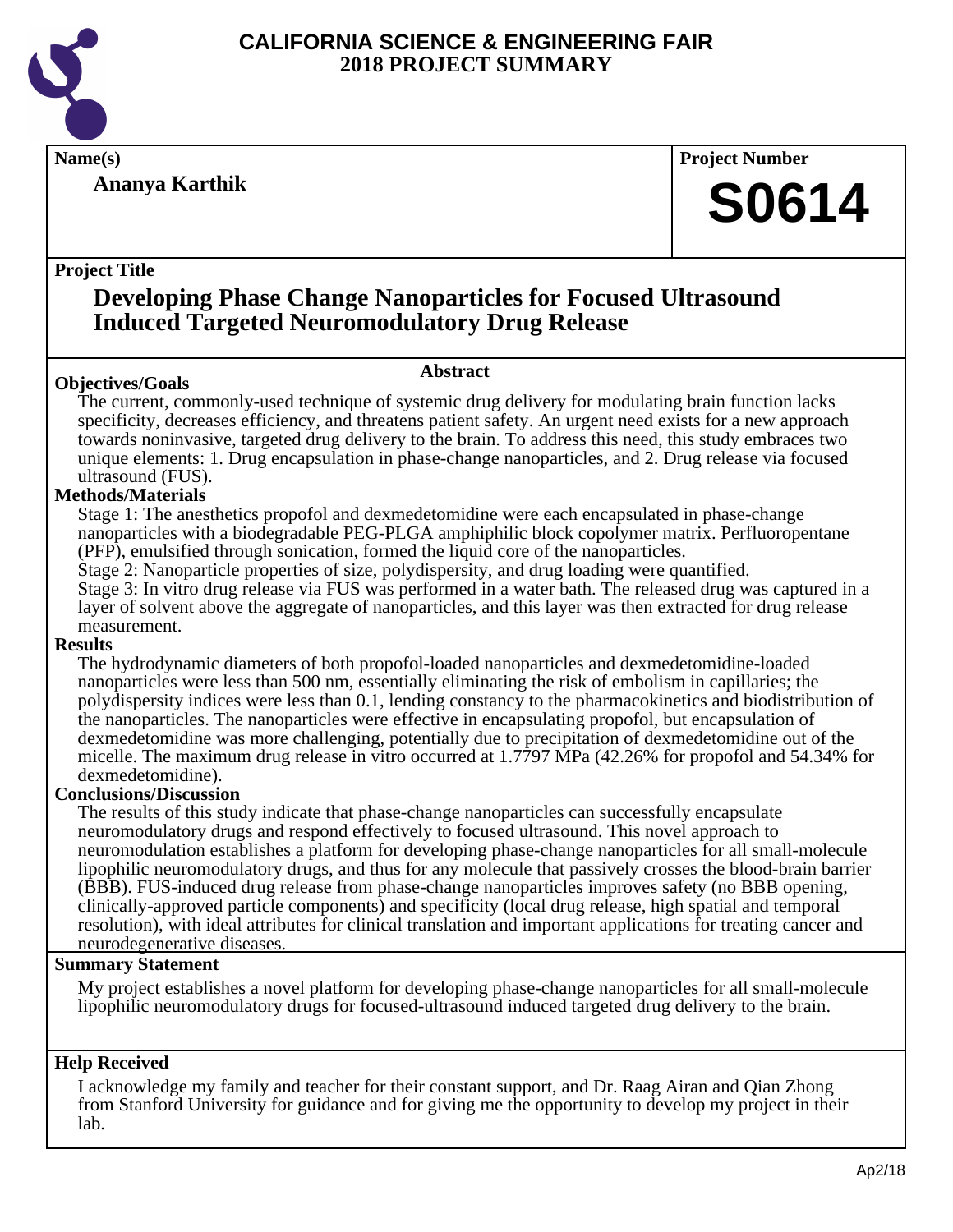

**Ananya Karthik**

**Name(s) Project Number**

## **S0614**

#### **Project Title**

### **Developing Phase Change Nanoparticles for Focused Ultrasound Induced Targeted Neuromodulatory Drug Release**

#### **Abstract**

**Objectives/Goals** The current, commonly-used technique of systemic drug delivery for modulating brain function lacks specificity, decreases efficiency, and threatens patient safety. An urgent need exists for a new approach towards noninvasive, targeted drug delivery to the brain. To address this need, this study embraces two unique elements: 1. Drug encapsulation in phase-change nanoparticles, and 2. Drug release via focused ultrasound (FUS).

#### **Methods/Materials**

Stage 1: The anesthetics propofol and dexmedetomidine were each encapsulated in phase-change nanoparticles with a biodegradable PEG-PLGA amphiphilic block copolymer matrix. Perfluoropentane (PFP), emulsified through sonication, formed the liquid core of the nanoparticles.

Stage 2: Nanoparticle properties of size, polydispersity, and drug loading were quantified.

Stage 3: In vitro drug release via FUS was performed in a water bath. The released drug was captured in a layer of solvent above the aggregate of nanoparticles, and this layer was then extracted for drug release measurement.

#### **Results**

The hydrodynamic diameters of both propofol-loaded nanoparticles and dexmedetomidine-loaded nanoparticles were less than 500 nm, essentially eliminating the risk of embolism in capillaries; the polydispersity indices were less than 0.1, lending constancy to the pharmacokinetics and biodistribution of the nanoparticles. The nanoparticles were effective in encapsulating propofol, but encapsulation of dexmedetomidine was more challenging, potentially due to precipitation of dexmedetomidine out of the micelle. The maximum drug release in vitro occurred at 1.7797 MPa (42.26% for propofol and 54.34% for dexmedetomidine).

#### **Conclusions/Discussion**

The results of this study indicate that phase-change nanoparticles can successfully encapsulate neuromodulatory drugs and respond effectively to focused ultrasound. This novel approach to neuromodulation establishes a platform for developing phase-change nanoparticles for all small-molecule lipophilic neuromodulatory drugs, and thus for any molecule that passively crosses the blood-brain barrier (BBB). FUS-induced drug release from phase-change nanoparticles improves safety (no BBB opening, clinically-approved particle components) and specificity (local drug release, high spatial and temporal resolution), with ideal attributes for clinical translation and important applications for treating cancer and neurodegenerative diseases.

#### **Summary Statement**

My project establishes a novel platform for developing phase-change nanoparticles for all small-molecule lipophilic neuromodulatory drugs for focused-ultrasound induced targeted drug delivery to the brain.

#### **Help Received**

I acknowledge my family and teacher for their constant support, and Dr. Raag Airan and Qian Zhong from Stanford University for guidance and for giving me the opportunity to develop my project in their lab.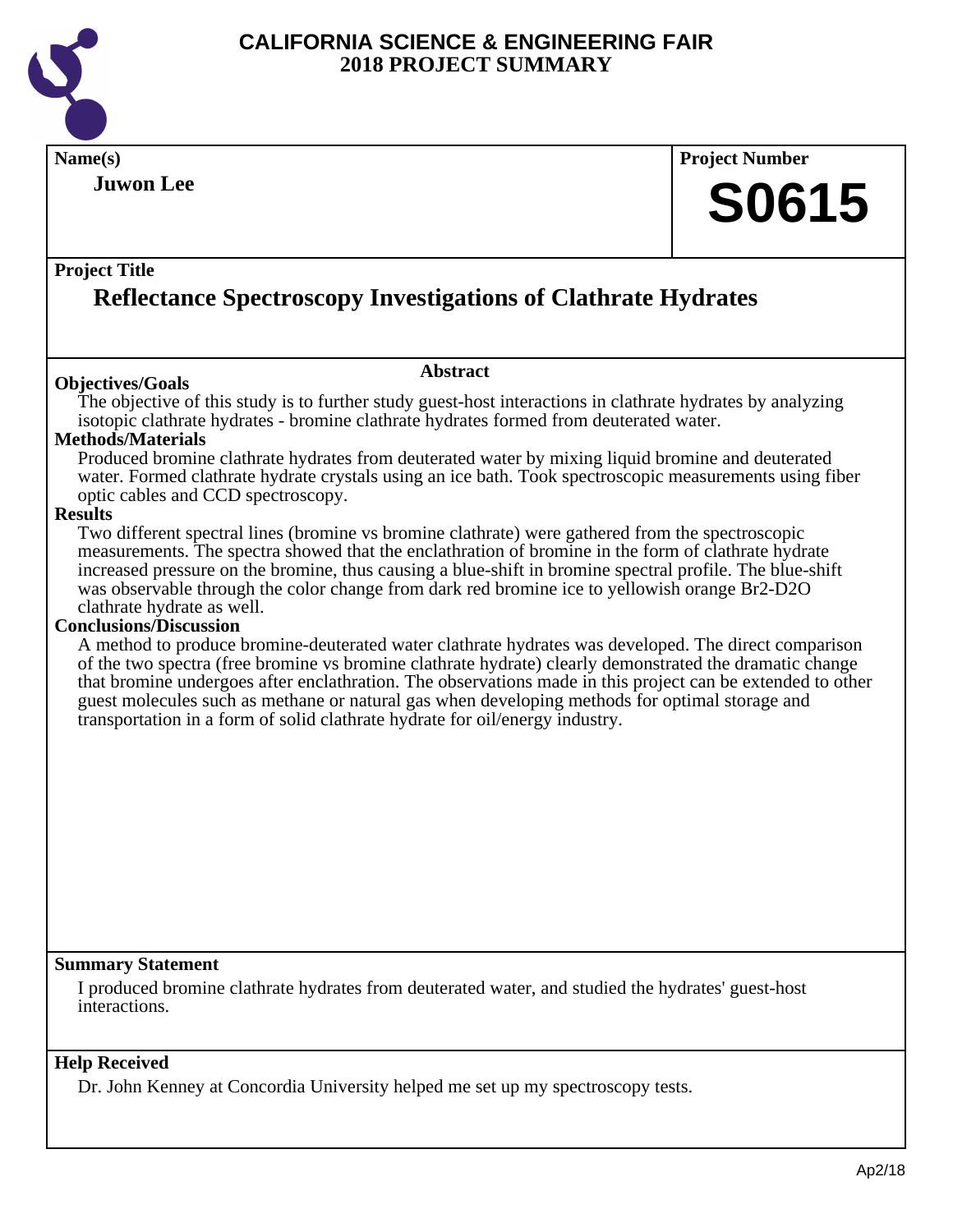

**Name(s) Project Number Project Title Abstract Summary Statement Help Received Juwon Lee Reflectance Spectroscopy Investigations of Clathrate Hydrates S0615 Objectives/Goals** The objective of this study is to further study guest-host interactions in clathrate hydrates by analyzing isotopic clathrate hydrates - bromine clathrate hydrates formed from deuterated water. **Methods/Materials** Produced bromine clathrate hydrates from deuterated water by mixing liquid bromine and deuterated water. Formed clathrate hydrate crystals using an ice bath. Took spectroscopic measurements using fiber optic cables and CCD spectroscopy. **Results** Two different spectral lines (bromine vs bromine clathrate) were gathered from the spectroscopic measurements. The spectra showed that the enclathration of bromine in the form of clathrate hydrate increased pressure on the bromine, thus causing a blue-shift in bromine spectral profile. The blue-shift was observable through the color change from dark red bromine ice to yellowish orange Br2-D2O clathrate hydrate as well. **Conclusions/Discussion** A method to produce bromine-deuterated water clathrate hydrates was developed. The direct comparison of the two spectra (free bromine vs bromine clathrate hydrate) clearly demonstrated the dramatic change that bromine undergoes after enclathration. The observations made in this project can be extended to other guest molecules such as methane or natural gas when developing methods for optimal storage and transportation in a form of solid clathrate hydrate for oil/energy industry. I produced bromine clathrate hydrates from deuterated water, and studied the hydrates' guest-host interactions. Dr. John Kenney at Concordia University helped me set up my spectroscopy tests.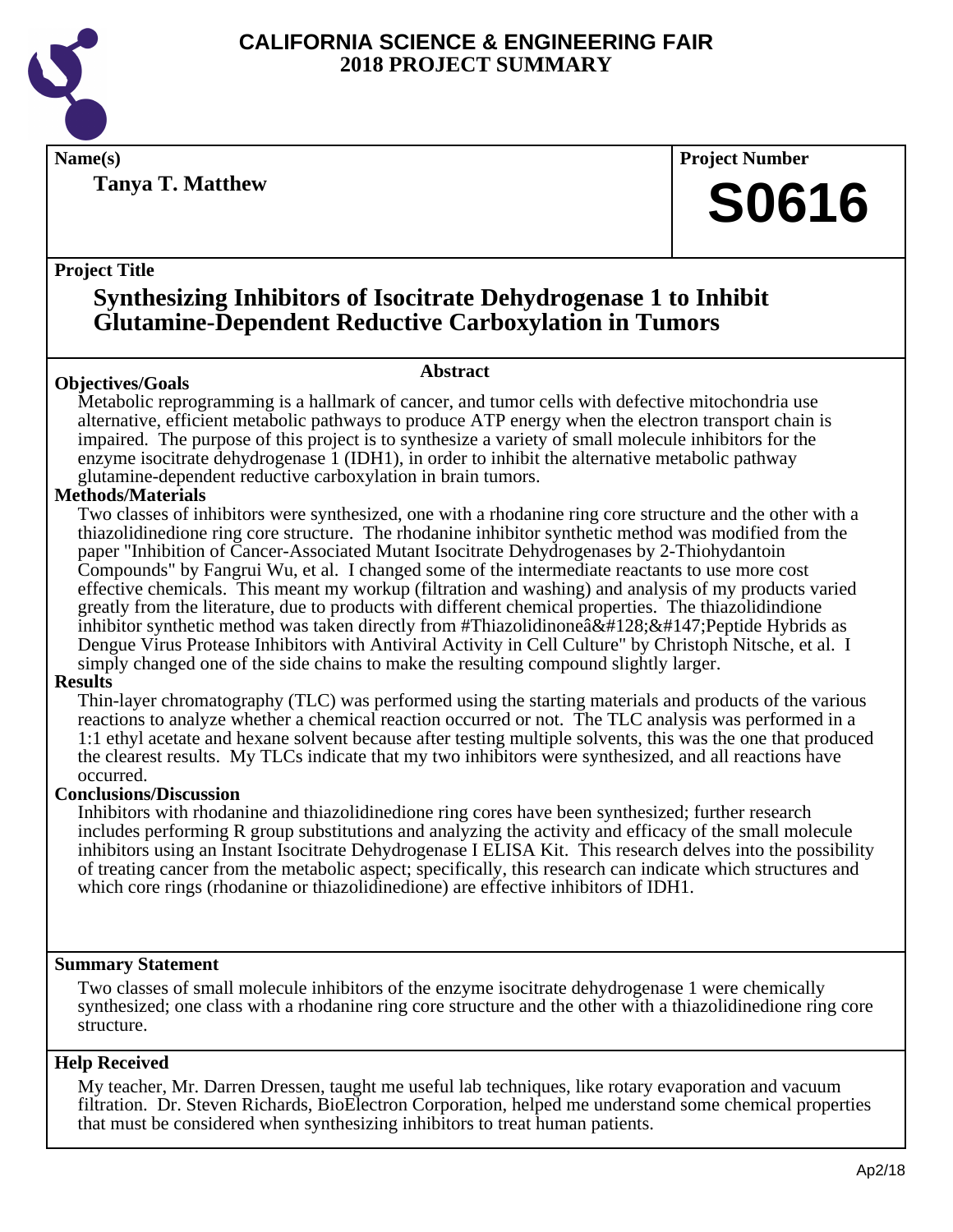

**Tanya T. Matthew**

**Name(s) Project Number**

## **S0616**

#### **Project Title**

## **Synthesizing Inhibitors of Isocitrate Dehydrogenase 1 to Inhibit Glutamine-Dependent Reductive Carboxylation in Tumors**

#### **Abstract**

**Objectives/Goals** Metabolic reprogramming is a hallmark of cancer, and tumor cells with defective mitochondria use alternative, efficient metabolic pathways to produce ATP energy when the electron transport chain is impaired. The purpose of this project is to synthesize a variety of small molecule inhibitors for the enzyme isocitrate dehydrogenase 1 (IDH1), in order to inhibit the alternative metabolic pathway glutamine-dependent reductive carboxylation in brain tumors.

#### **Methods/Materials**

Two classes of inhibitors were synthesized, one with a rhodanine ring core structure and the other with a thiazolidinedione ring core structure. The rhodanine inhibitor synthetic method was modified from the paper "Inhibition of Cancer-Associated Mutant Isocitrate Dehydrogenases by 2-Thiohydantoin Compounds" by Fangrui Wu, et al. I changed some of the intermediate reactants to use more cost effective chemicals. This meant my workup (filtration and washing) and analysis of my products varied greatly from the literature, due to products with different chemical properties. The thiazolidindione inhibitor synthetic method was taken directly from #Thiazolidinone $\frac{\partial \mathcal{L}}{\partial \mathcal{L}}$ #147; Peptide Hybrids as Dengue Virus Protease Inhibitors with Antiviral Activity in Cell Culture" by Christoph Nitsche, et al. I simply changed one of the side chains to make the resulting compound slightly larger.

#### **Results**

Thin-layer chromatography (TLC) was performed using the starting materials and products of the various reactions to analyze whether a chemical reaction occurred or not. The TLC analysis was performed in a 1:1 ethyl acetate and hexane solvent because after testing multiple solvents, this was the one that produced the clearest results. My TLCs indicate that my two inhibitors were synthesized, and all reactions have occurred.

#### **Conclusions/Discussion**

Inhibitors with rhodanine and thiazolidinedione ring cores have been synthesized; further research includes performing R group substitutions and analyzing the activity and efficacy of the small molecule inhibitors using an Instant Isocitrate Dehydrogenase I ELISA Kit. This research delves into the possibility of treating cancer from the metabolic aspect; specifically, this research can indicate which structures and which core rings (rhodanine or thiazolidinedione) are effective inhibitors of IDH1.

#### **Summary Statement**

Two classes of small molecule inhibitors of the enzyme isocitrate dehydrogenase 1 were chemically synthesized; one class with a rhodanine ring core structure and the other with a thiazolidinedione ring core structure.

#### **Help Received**

My teacher, Mr. Darren Dressen, taught me useful lab techniques, like rotary evaporation and vacuum filtration. Dr. Steven Richards, BioElectron Corporation, helped me understand some chemical properties that must be considered when synthesizing inhibitors to treat human patients.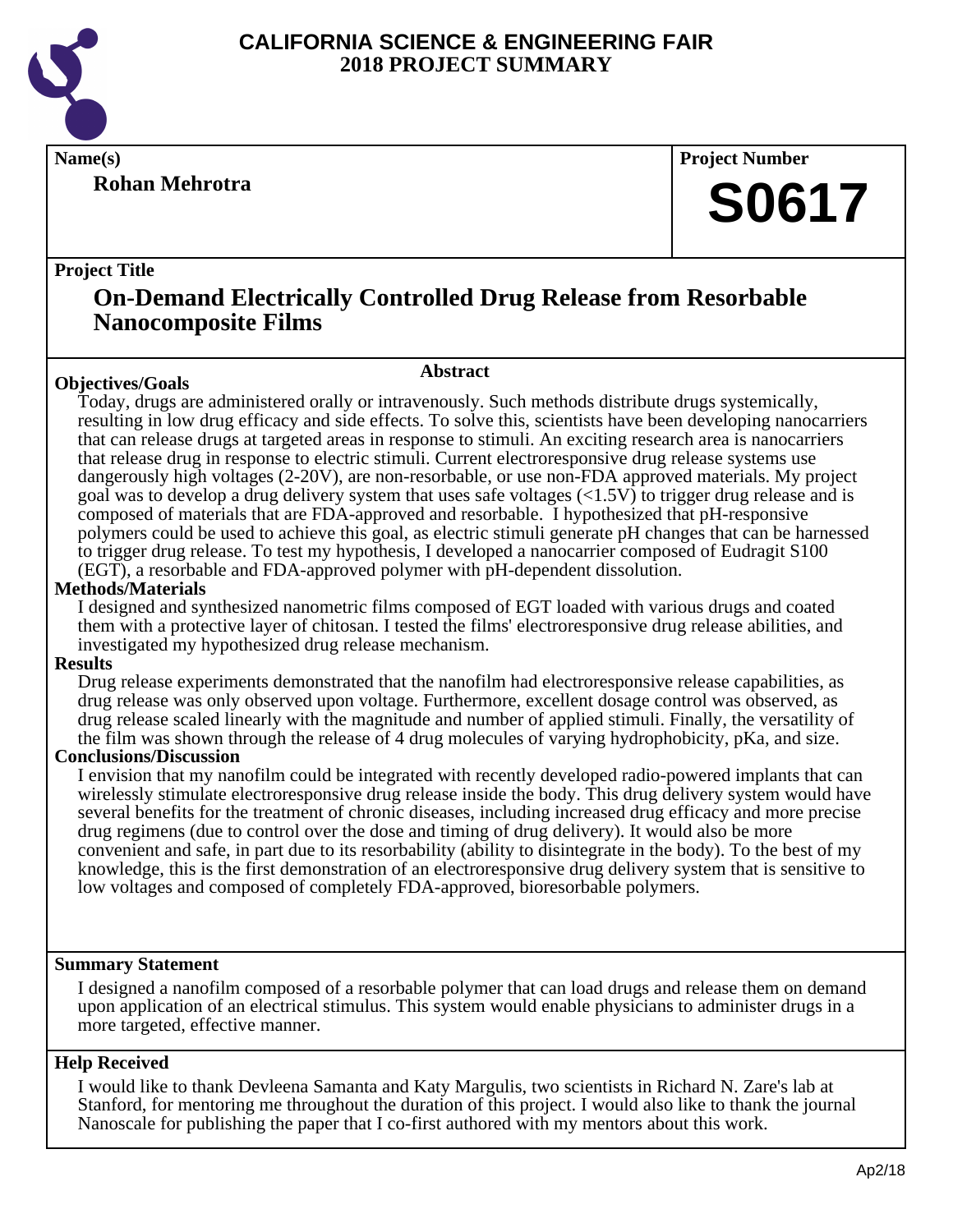

**Rohan Mehrotra**

**Name(s) Project Number**

## **S0617**

#### **Project Title**

### **On-Demand Electrically Controlled Drug Release from Resorbable Nanocomposite Films**

#### **Objectives/Goals**

#### **Abstract**

Today, drugs are administered orally or intravenously. Such methods distribute drugs systemically, resulting in low drug efficacy and side effects. To solve this, scientists have been developing nanocarriers that can release drugs at targeted areas in response to stimuli. An exciting research area is nanocarriers that release drug in response to electric stimuli. Current electroresponsive drug release systems use dangerously high voltages (2-20V), are non-resorbable, or use non-FDA approved materials. My project goal was to develop a drug delivery system that uses safe voltages  $(\langle 1.5V \rangle)$  to trigger drug release and is composed of materials that are FDA-approved and resorbable. I hypothesized that pH-responsive polymers could be used to achieve this goal, as electric stimuli generate pH changes that can be harnessed to trigger drug release. To test my hypothesis, I developed a nanocarrier composed of Eudragit S100 (EGT), a resorbable and FDA-approved polymer with pH-dependent dissolution.

#### **Methods/Materials**

I designed and synthesized nanometric films composed of EGT loaded with various drugs and coated them with a protective layer of chitosan. I tested the films' electroresponsive drug release abilities, and investigated my hypothesized drug release mechanism.

#### **Results**

Drug release experiments demonstrated that the nanofilm had electroresponsive release capabilities, as drug release was only observed upon voltage. Furthermore, excellent dosage control was observed, as drug release scaled linearly with the magnitude and number of applied stimuli. Finally, the versatility of the film was shown through the release of 4 drug molecules of varying hydrophobicity, pKa, and size.

#### **Conclusions/Discussion**

I envision that my nanofilm could be integrated with recently developed radio-powered implants that can wirelessly stimulate electroresponsive drug release inside the body. This drug delivery system would have several benefits for the treatment of chronic diseases, including increased drug efficacy and more precise drug regimens (due to control over the dose and timing of drug delivery). It would also be more convenient and safe, in part due to its resorbability (ability to disintegrate in the body). To the best of my knowledge, this is the first demonstration of an electroresponsive drug delivery system that is sensitive to low voltages and composed of completely FDA-approved, bioresorbable polymers.

#### **Summary Statement**

I designed a nanofilm composed of a resorbable polymer that can load drugs and release them on demand upon application of an electrical stimulus. This system would enable physicians to administer drugs in a more targeted, effective manner.

#### **Help Received**

I would like to thank Devleena Samanta and Katy Margulis, two scientists in Richard N. Zare's lab at Stanford, for mentoring me throughout the duration of this project. I would also like to thank the journal Nanoscale for publishing the paper that I co-first authored with my mentors about this work.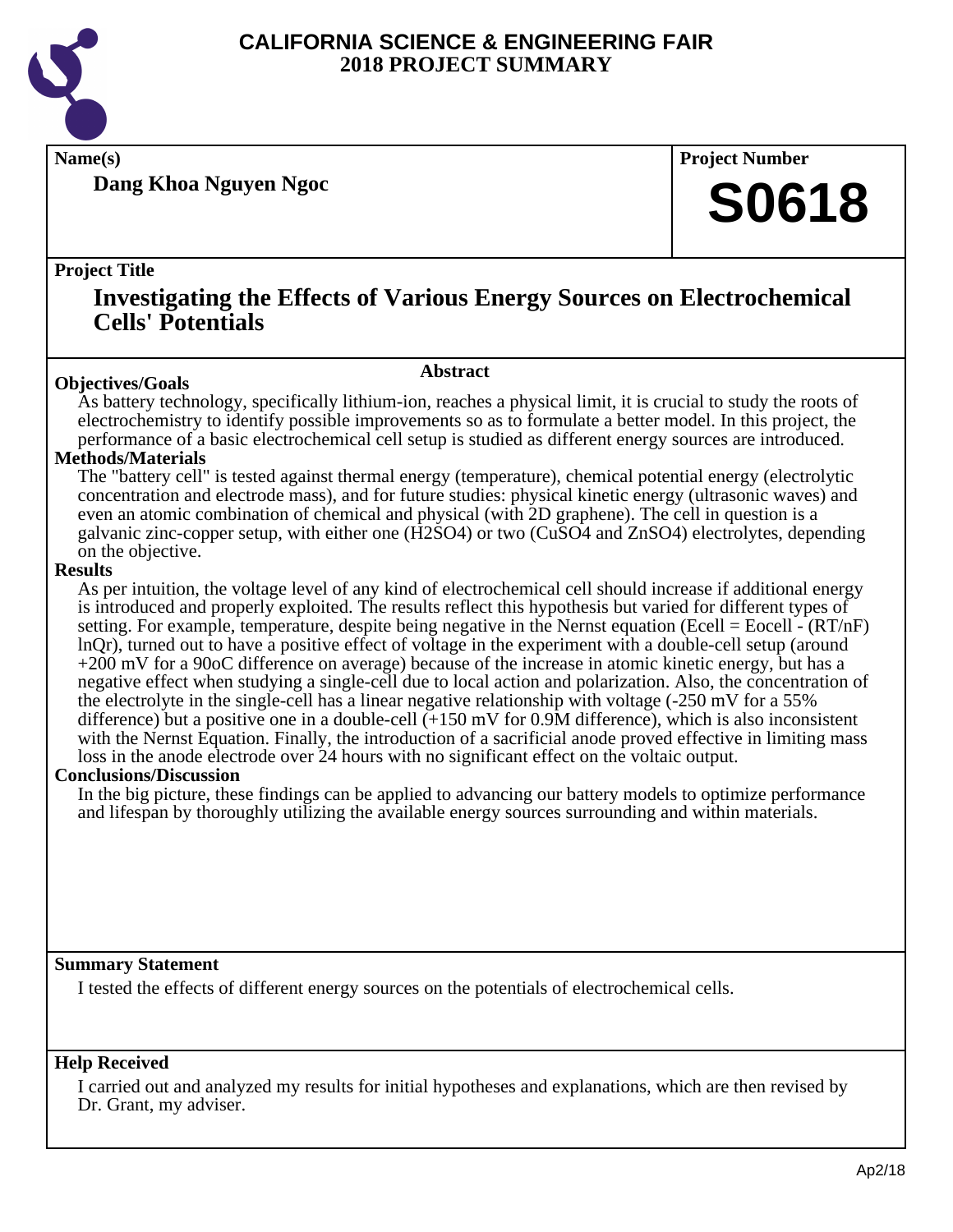

**Dang Khoa Nguyen Ngoc**

**Name(s) Project Number**

## **S0618**

#### **Project Title**

### **Investigating the Effects of Various Energy Sources on Electrochemical Cells' Potentials**

#### **Abstract**

**Objectives/Goals** As battery technology, specifically lithium-ion, reaches a physical limit, it is crucial to study the roots of electrochemistry to identify possible improvements so as to formulate a better model. In this project, the performance of a basic electrochemical cell setup is studied as different energy sources are introduced.

#### **Methods/Materials**

The "battery cell" is tested against thermal energy (temperature), chemical potential energy (electrolytic concentration and electrode mass), and for future studies: physical kinetic energy (ultrasonic waves) and even an atomic combination of chemical and physical (with 2D graphene). The cell in question is a galvanic zinc-copper setup, with either one (H2SO4) or two (CuSO4 and ZnSO4) electrolytes, depending on the objective.

#### **Results**

As per intuition, the voltage level of any kind of electrochemical cell should increase if additional energy is introduced and properly exploited. The results reflect this hypothesis but varied for different types of setting. For example, temperature, despite being negative in the Nernst equation (Ecell = Eocell -  $(RT/nF)$ ) lnQr), turned out to have a positive effect of voltage in the experiment with a double-cell setup (around +200 mV for a 90oC difference on average) because of the increase in atomic kinetic energy, but has a negative effect when studying a single-cell due to local action and polarization. Also, the concentration of the electrolyte in the single-cell has a linear negative relationship with voltage (-250 mV for a 55% difference) but a positive one in a double-cell  $(+150 \text{ mV}$  for 0.9M difference), which is also inconsistent with the Nernst Equation. Finally, the introduction of a sacrificial anode proved effective in limiting mass loss in the anode electrode over 24 hours with no significant effect on the voltaic output.

#### **Conclusions/Discussion**

In the big picture, these findings can be applied to advancing our battery models to optimize performance and lifespan by thoroughly utilizing the available energy sources surrounding and within materials.

#### **Summary Statement**

I tested the effects of different energy sources on the potentials of electrochemical cells.

#### **Help Received**

I carried out and analyzed my results for initial hypotheses and explanations, which are then revised by Dr. Grant, my adviser.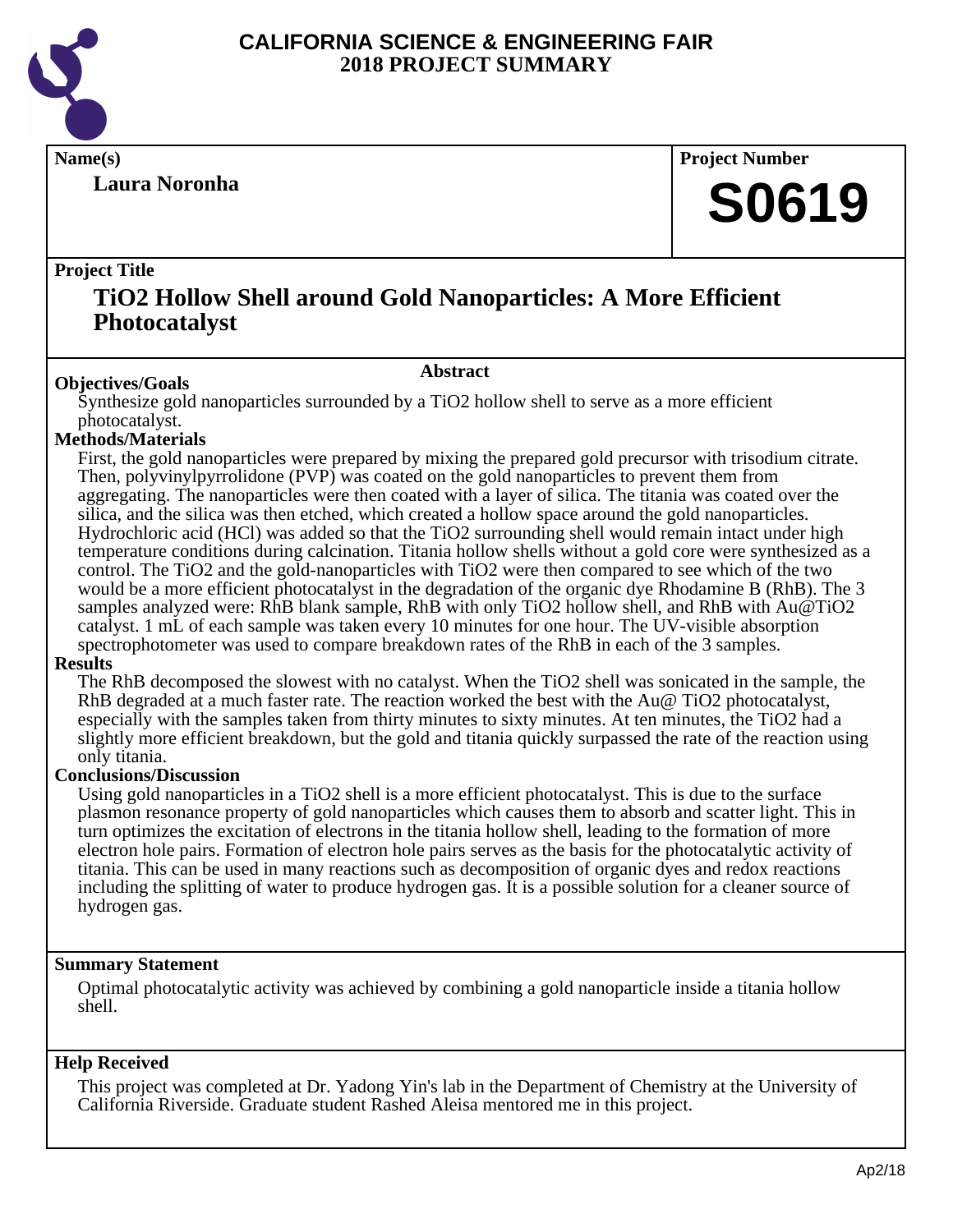

**Laura Noronha**

**Name(s) Project Number**

## **S0619**

#### **Project Title**

### **TiO2 Hollow Shell around Gold Nanoparticles: A More Efficient Photocatalyst**

#### **Abstract**

**Objectives/Goals** Synthesize gold nanoparticles surrounded by a TiO2 hollow shell to serve as a more efficient photocatalyst.

#### **Methods/Materials**

First, the gold nanoparticles were prepared by mixing the prepared gold precursor with trisodium citrate. Then, polyvinylpyrrolidone (PVP) was coated on the gold nanoparticles to prevent them from aggregating. The nanoparticles were then coated with a layer of silica. The titania was coated over the silica, and the silica was then etched, which created a hollow space around the gold nanoparticles. Hydrochloric acid (HCl) was added so that the TiO2 surrounding shell would remain intact under high temperature conditions during calcination. Titania hollow shells without a gold core were synthesized as a control. The TiO2 and the gold-nanoparticles with TiO2 were then compared to see which of the two would be a more efficient photocatalyst in the degradation of the organic dye Rhodamine B (RhB). The 3 samples analyzed were: RhB blank sample, RhB with only TiO2 hollow shell, and RhB with Au@TiO2 catalyst. 1 mL of each sample was taken every 10 minutes for one hour. The UV-visible absorption spectrophotometer was used to compare breakdown rates of the RhB in each of the 3 samples.

#### **Results**

The RhB decomposed the slowest with no catalyst. When the TiO2 shell was sonicated in the sample, the RhB degraded at a much faster rate. The reaction worked the best with the  $Au@$  TiO2 photocatalyst, especially with the samples taken from thirty minutes to sixty minutes. At ten minutes, the TiO2 had a slightly more efficient breakdown, but the gold and titania quickly surpassed the rate of the reaction using only titania.

#### **Conclusions/Discussion**

Using gold nanoparticles in a TiO2 shell is a more efficient photocatalyst. This is due to the surface plasmon resonance property of gold nanoparticles which causes them to absorb and scatter light. This in turn optimizes the excitation of electrons in the titania hollow shell, leading to the formation of more electron hole pairs. Formation of electron hole pairs serves as the basis for the photocatalytic activity of titania. This can be used in many reactions such as decomposition of organic dyes and redox reactions including the splitting of water to produce hydrogen gas. It is a possible solution for a cleaner source of hydrogen gas.

#### **Summary Statement**

Optimal photocatalytic activity was achieved by combining a gold nanoparticle inside a titania hollow shell.

#### **Help Received**

This project was completed at Dr. Yadong Yin's lab in the Department of Chemistry at the University of California Riverside. Graduate student Rashed Aleisa mentored me in this project.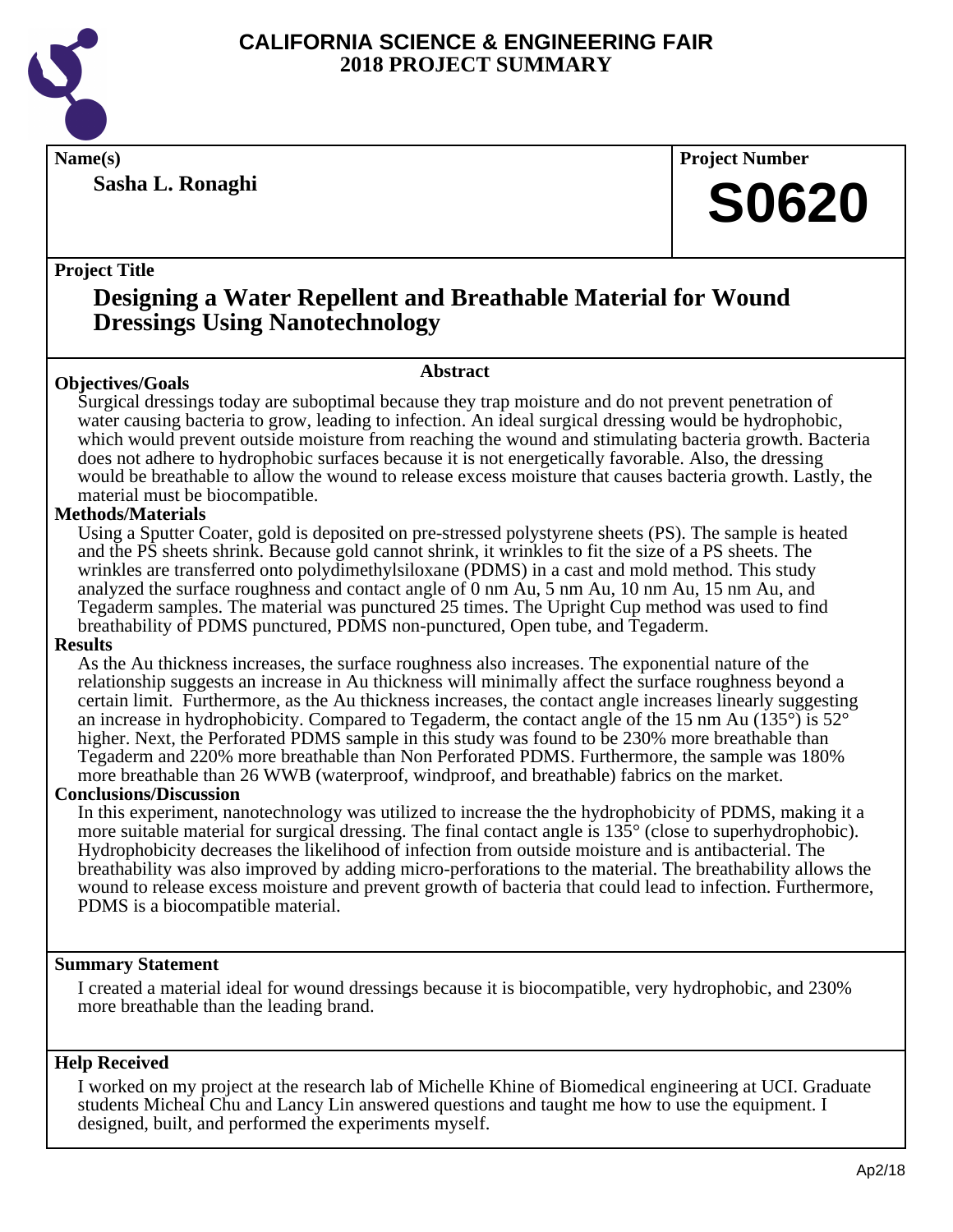

**Sasha L. Ronaghi**

**Name(s) Project Number**

## **S0620**

#### **Project Title**

## **Designing a Water Repellent and Breathable Material for Wound Dressings Using Nanotechnology**

#### **Abstract**

**Objectives/Goals** Surgical dressings today are suboptimal because they trap moisture and do not prevent penetration of water causing bacteria to grow, leading to infection. An ideal surgical dressing would be hydrophobic, which would prevent outside moisture from reaching the wound and stimulating bacteria growth. Bacteria does not adhere to hydrophobic surfaces because it is not energetically favorable. Also, the dressing would be breathable to allow the wound to release excess moisture that causes bacteria growth. Lastly, the material must be biocompatible.

#### **Methods/Materials**

Using a Sputter Coater, gold is deposited on pre-stressed polystyrene sheets (PS). The sample is heated and the PS sheets shrink. Because gold cannot shrink, it wrinkles to fit the size of a PS sheets. The wrinkles are transferred onto polydimethylsiloxane (PDMS) in a cast and mold method. This study analyzed the surface roughness and contact angle of 0 nm Au, 5 nm Au, 10 nm Au, 15 nm Au, and Tegaderm samples. The material was punctured 25 times. The Upright Cup method was used to find breathability of PDMS punctured, PDMS non-punctured, Open tube, and Tegaderm.

#### **Results**

As the Au thickness increases, the surface roughness also increases. The exponential nature of the relationship suggests an increase in Au thickness will minimally affect the surface roughness beyond a certain limit. Furthermore, as the Au thickness increases, the contact angle increases linearly suggesting an increase in hydrophobicity. Compared to Tegaderm, the contact angle of the 15 nm Au (135 $^{\circ}$ ) is 52 $^{\circ}$ higher. Next, the Perforated PDMS sample in this study was found to be 230% more breathable than Tegaderm and 220% more breathable than Non Perforated PDMS. Furthermore, the sample was 180% more breathable than 26 WWB (waterproof, windproof, and breathable) fabrics on the market.

#### **Conclusions/Discussion**

In this experiment, nanotechnology was utilized to increase the the hydrophobicity of PDMS, making it a more suitable material for surgical dressing. The final contact angle is 135° (close to superhydrophobic). Hydrophobicity decreases the likelihood of infection from outside moisture and is antibacterial. The breathability was also improved by adding micro-perforations to the material. The breathability allows the wound to release excess moisture and prevent growth of bacteria that could lead to infection. Furthermore, PDMS is a biocompatible material.

#### **Summary Statement**

I created a material ideal for wound dressings because it is biocompatible, very hydrophobic, and 230% more breathable than the leading brand.

#### **Help Received**

I worked on my project at the research lab of Michelle Khine of Biomedical engineering at UCI. Graduate students Micheal Chu and Lancy Lin answered questions and taught me how to use the equipment. I designed, built, and performed the experiments myself.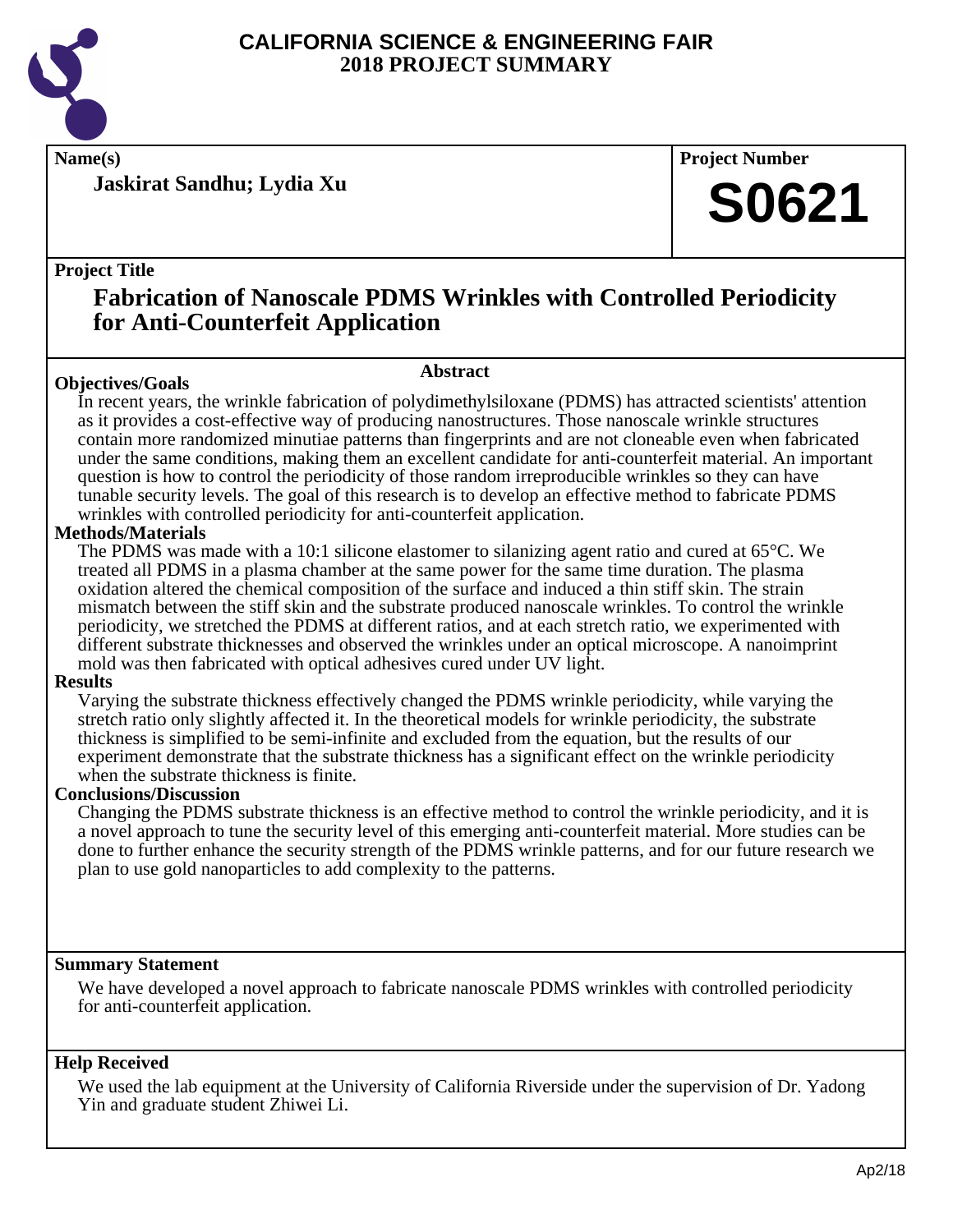

**Jaskirat Sandhu; Lydia Xu**

**Name(s) Project Number**

## **S0621**

#### **Project Title**

## **Fabrication of Nanoscale PDMS Wrinkles with Controlled Periodicity for Anti-Counterfeit Application**

#### **Abstract**

**Objectives/Goals** In recent years, the wrinkle fabrication of polydimethylsiloxane (PDMS) has attracted scientists' attention as it provides a cost-effective way of producing nanostructures. Those nanoscale wrinkle structures contain more randomized minutiae patterns than fingerprints and are not cloneable even when fabricated under the same conditions, making them an excellent candidate for anti-counterfeit material. An important question is how to control the periodicity of those random irreproducible wrinkles so they can have tunable security levels. The goal of this research is to develop an effective method to fabricate PDMS wrinkles with controlled periodicity for anti-counterfeit application.

#### **Methods/Materials**

The PDMS was made with a 10:1 silicone elastomer to silanizing agent ratio and cured at 65°C. We treated all PDMS in a plasma chamber at the same power for the same time duration. The plasma oxidation altered the chemical composition of the surface and induced a thin stiff skin. The strain mismatch between the stiff skin and the substrate produced nanoscale wrinkles. To control the wrinkle periodicity, we stretched the PDMS at different ratios, and at each stretch ratio, we experimented with different substrate thicknesses and observed the wrinkles under an optical microscope. A nanoimprint mold was then fabricated with optical adhesives cured under UV light.

#### **Results**

Varying the substrate thickness effectively changed the PDMS wrinkle periodicity, while varying the stretch ratio only slightly affected it. In the theoretical models for wrinkle periodicity, the substrate thickness is simplified to be semi-infinite and excluded from the equation, but the results of our experiment demonstrate that the substrate thickness has a significant effect on the wrinkle periodicity when the substrate thickness is finite.

#### **Conclusions/Discussion**

Changing the PDMS substrate thickness is an effective method to control the wrinkle periodicity, and it is a novel approach to tune the security level of this emerging anti-counterfeit material. More studies can be done to further enhance the security strength of the PDMS wrinkle patterns, and for our future research we plan to use gold nanoparticles to add complexity to the patterns.

#### **Summary Statement**

We have developed a novel approach to fabricate nanoscale PDMS wrinkles with controlled periodicity for anti-counterfeit application.

#### **Help Received**

We used the lab equipment at the University of California Riverside under the supervision of Dr. Yadong Yin and graduate student Zhiwei Li.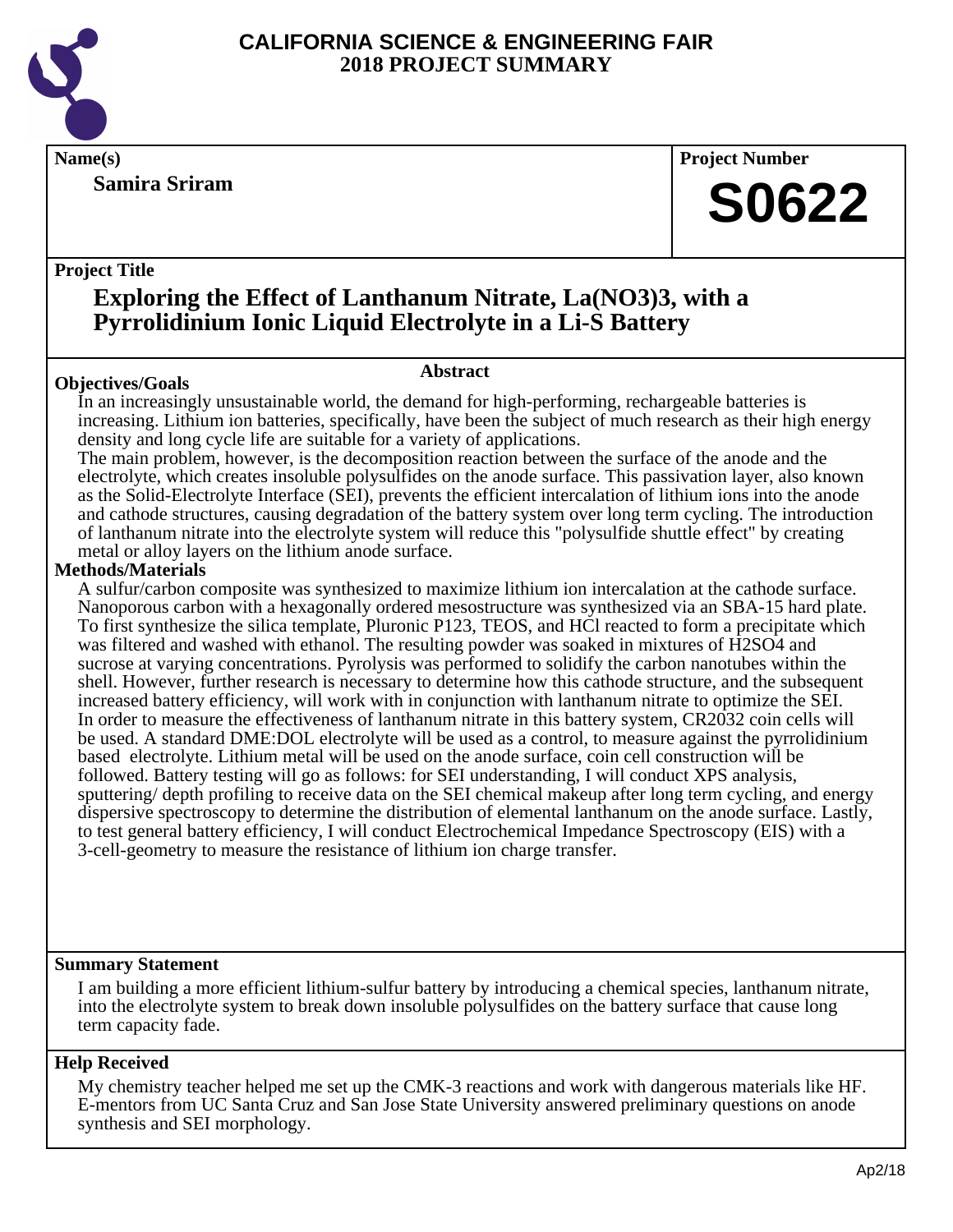

**Samira Sriram**

**Name(s) Project Number**

## **S0622**

#### **Project Title**

## **Exploring the Effect of Lanthanum Nitrate, La(NO3)3, with a Pyrrolidinium Ionic Liquid Electrolyte in a Li-S Battery**

#### **Abstract**

**Objectives/Goals** In an increasingly unsustainable world, the demand for high-performing, rechargeable batteries is increasing. Lithium ion batteries, specifically, have been the subject of much research as their high energy density and long cycle life are suitable for a variety of applications.

The main problem, however, is the decomposition reaction between the surface of the anode and the electrolyte, which creates insoluble polysulfides on the anode surface. This passivation layer, also known as the Solid-Electrolyte Interface (SEI), prevents the efficient intercalation of lithium ions into the anode and cathode structures, causing degradation of the battery system over long term cycling. The introduction of lanthanum nitrate into the electrolyte system will reduce this "polysulfide shuttle effect" by creating metal or alloy layers on the lithium anode surface.

#### **Methods/Materials**

A sulfur/carbon composite was synthesized to maximize lithium ion intercalation at the cathode surface. Nanoporous carbon with a hexagonally ordered mesostructure was synthesized via an SBA-15 hard plate. To first synthesize the silica template, Pluronic P123, TEOS, and HCl reacted to form a precipitate which was filtered and washed with ethanol. The resulting powder was soaked in mixtures of H2SO4 and sucrose at varying concentrations. Pyrolysis was performed to solidify the carbon nanotubes within the shell. However, further research is necessary to determine how this cathode structure, and the subsequent increased battery efficiency, will work with in conjunction with lanthanum nitrate to optimize the SEI. In order to measure the effectiveness of lanthanum nitrate in this battery system, CR2032 coin cells will be used. A standard DME:DOL electrolyte will be used as a control, to measure against the pyrrolidinium based electrolyte. Lithium metal will be used on the anode surface, coin cell construction will be followed. Battery testing will go as follows: for SEI understanding, I will conduct XPS analysis, sputtering/ depth profiling to receive data on the SEI chemical makeup after long term cycling, and energy dispersive spectroscopy to determine the distribution of elemental lanthanum on the anode surface. Lastly, to test general battery efficiency, I will conduct Electrochemical Impedance Spectroscopy (EIS) with a 3-cell-geometry to measure the resistance of lithium ion charge transfer.

#### **Summary Statement**

I am building a more efficient lithium-sulfur battery by introducing a chemical species, lanthanum nitrate, into the electrolyte system to break down insoluble polysulfides on the battery surface that cause long term capacity fade.

#### **Help Received**

My chemistry teacher helped me set up the CMK-3 reactions and work with dangerous materials like HF. E-mentors from UC Santa Cruz and San Jose State University answered preliminary questions on anode synthesis and SEI morphology.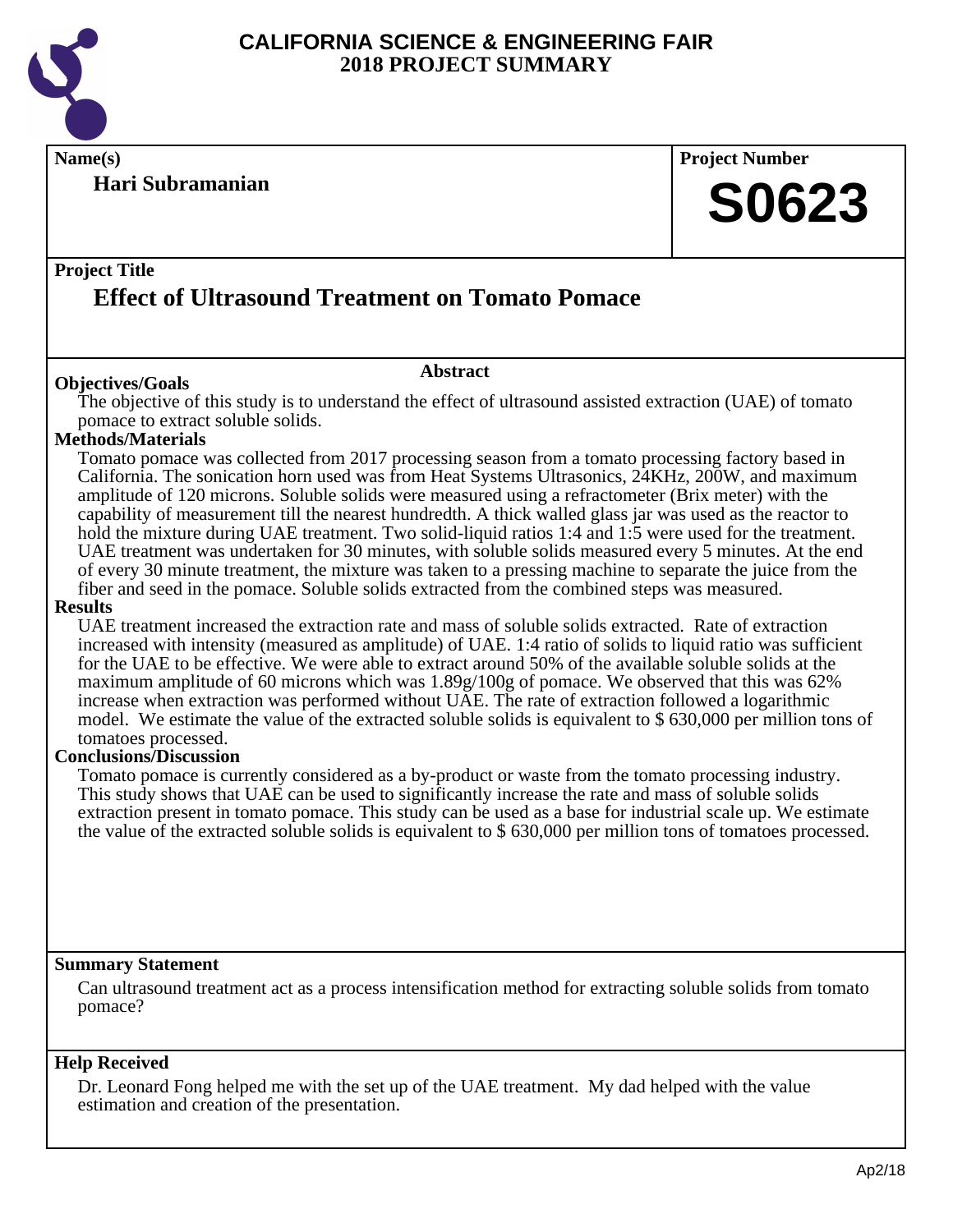

**Name(s) Project Number**

### **Hari Subramanian**

# **S0623**

### **Project Title Effect of Ultrasound Treatment on Tomato Pomace**

#### **Abstract**

**Objectives/Goals** The objective of this study is to understand the effect of ultrasound assisted extraction (UAE) of tomato pomace to extract soluble solids.

#### **Methods/Materials**

Tomato pomace was collected from 2017 processing season from a tomato processing factory based in California. The sonication horn used was from Heat Systems Ultrasonics, 24KHz, 200W, and maximum amplitude of 120 microns. Soluble solids were measured using a refractometer (Brix meter) with the capability of measurement till the nearest hundredth. A thick walled glass jar was used as the reactor to hold the mixture during UAE treatment. Two solid-liquid ratios 1:4 and 1:5 were used for the treatment. UAE treatment was undertaken for 30 minutes, with soluble solids measured every 5 minutes. At the end of every 30 minute treatment, the mixture was taken to a pressing machine to separate the juice from the fiber and seed in the pomace. Soluble solids extracted from the combined steps was measured.

#### **Results**

UAE treatment increased the extraction rate and mass of soluble solids extracted. Rate of extraction increased with intensity (measured as amplitude) of UAE. 1:4 ratio of solids to liquid ratio was sufficient for the UAE to be effective. We were able to extract around 50% of the available soluble solids at the maximum amplitude of 60 microns which was 1.89g/100g of pomace. We observed that this was 62% increase when extraction was performed without UAE. The rate of extraction followed a logarithmic model. We estimate the value of the extracted soluble solids is equivalent to \$ 630,000 per million tons of tomatoes processed.

#### **Conclusions/Discussion**

Tomato pomace is currently considered as a by-product or waste from the tomato processing industry. This study shows that UAE can be used to significantly increase the rate and mass of soluble solids extraction present in tomato pomace. This study can be used as a base for industrial scale up. We estimate the value of the extracted soluble solids is equivalent to \$ 630,000 per million tons of tomatoes processed.

#### **Summary Statement**

Can ultrasound treatment act as a process intensification method for extracting soluble solids from tomato pomace?

#### **Help Received**

Dr. Leonard Fong helped me with the set up of the UAE treatment. My dad helped with the value estimation and creation of the presentation.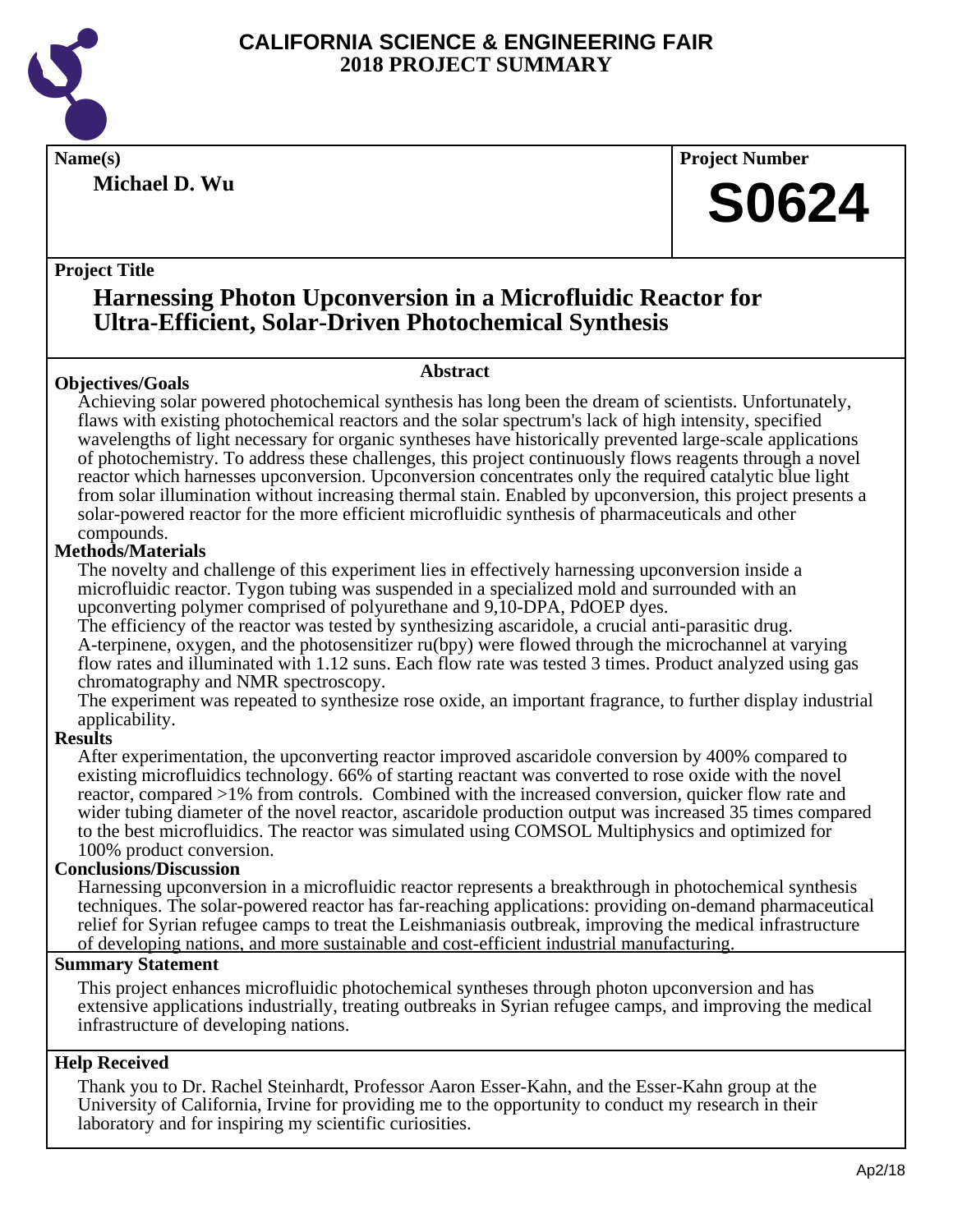

**Name(s) Project Number**

**Michael D. Wu**

#### **Project Title**

### **Harnessing Photon Upconversion in a Microfluidic Reactor for Ultra-Efficient, Solar-Driven Photochemical Synthesis**

#### **Objectives/Goals**

#### **Abstract**

Achieving solar powered photochemical synthesis has long been the dream of scientists. Unfortunately, flaws with existing photochemical reactors and the solar spectrum's lack of high intensity, specified wavelengths of light necessary for organic syntheses have historically prevented large-scale applications of photochemistry. To address these challenges, this project continuously flows reagents through a novel reactor which harnesses upconversion. Upconversion concentrates only the required catalytic blue light from solar illumination without increasing thermal stain. Enabled by upconversion, this project presents a solar-powered reactor for the more efficient microfluidic synthesis of pharmaceuticals and other compounds.

#### **Methods/Materials**

The novelty and challenge of this experiment lies in effectively harnessing upconversion inside a microfluidic reactor. Tygon tubing was suspended in a specialized mold and surrounded with an upconverting polymer comprised of polyurethane and 9,10-DPA, PdOEP dyes.

The efficiency of the reactor was tested by synthesizing ascaridole, a crucial anti-parasitic drug. A-terpinene, oxygen, and the photosensitizer ru(bpy) were flowed through the microchannel at varying flow rates and illuminated with 1.12 suns. Each flow rate was tested 3 times. Product analyzed using gas chromatography and NMR spectroscopy.

The experiment was repeated to synthesize rose oxide, an important fragrance, to further display industrial applicability.

#### **Results**

After experimentation, the upconverting reactor improved ascaridole conversion by 400% compared to existing microfluidics technology. 66% of starting reactant was converted to rose oxide with the novel reactor, compared >1% from controls. Combined with the increased conversion, quicker flow rate and wider tubing diameter of the novel reactor, ascaridole production output was increased 35 times compared to the best microfluidics. The reactor was simulated using COMSOL Multiphysics and optimized for 100% product conversion.

#### **Conclusions/Discussion**

Harnessing upconversion in a microfluidic reactor represents a breakthrough in photochemical synthesis techniques. The solar-powered reactor has far-reaching applications: providing on-demand pharmaceutical relief for Syrian refugee camps to treat the Leishmaniasis outbreak, improving the medical infrastructure of developing nations, and more sustainable and cost-efficient industrial manufacturing.

#### **Summary Statement**

This project enhances microfluidic photochemical syntheses through photon upconversion and has extensive applications industrially, treating outbreaks in Syrian refugee camps, and improving the medical infrastructure of developing nations.

#### **Help Received**

Thank you to Dr. Rachel Steinhardt, Professor Aaron Esser-Kahn, and the Esser-Kahn group at the University of California, Irvine for providing me to the opportunity to conduct my research in their laboratory and for inspiring my scientific curiosities.

**S0624**